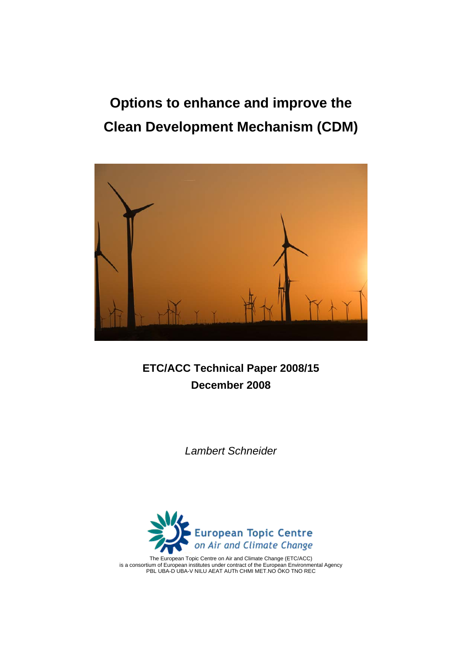**Options to enhance and improve the Clean Development Mechanism (CDM)** 



**ETC/ACC Technical Paper 2008/15 December 2008** 

*Lambert Schneider* 



The European Topic Centre on Air and Climate Change (ETC/ACC) is a consortium of European institutes under contract of the European Environmental Agency PBL UBA-D UBA-V NILU AEAT AUTh CHMI MET.NO ÖKO TNO REC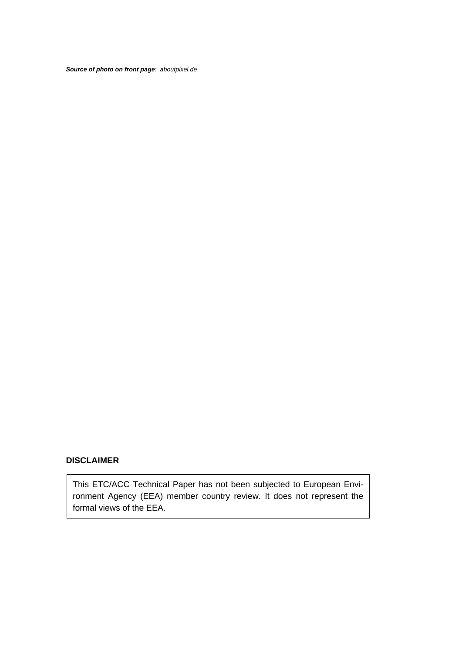*Source of photo on front page: aboutpixel.de*

#### **DISCLAIMER**

This ETC/ACC Technical Paper has not been subjected to European Environment Agency (EEA) member country review. It does not represent the formal views of the EEA.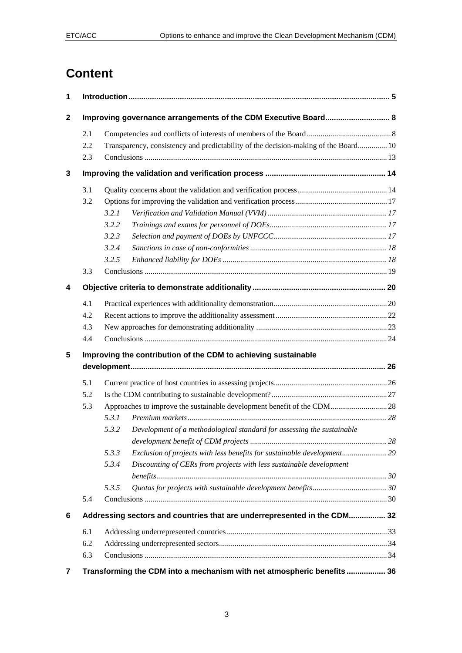# **Content**

| 1                |     |                                                                                     |  |  |
|------------------|-----|-------------------------------------------------------------------------------------|--|--|
| $\boldsymbol{2}$ |     | Improving governance arrangements of the CDM Executive Board 8                      |  |  |
|                  | 2.1 |                                                                                     |  |  |
|                  | 2.2 | Transparency, consistency and predictability of the decision-making of the Board 10 |  |  |
|                  | 2.3 |                                                                                     |  |  |
| 3                |     |                                                                                     |  |  |
|                  | 3.1 |                                                                                     |  |  |
|                  | 3.2 |                                                                                     |  |  |
|                  |     | 3.2.1                                                                               |  |  |
|                  |     | 3.2.2                                                                               |  |  |
|                  |     | 3.2.3                                                                               |  |  |
|                  |     | 3.2.4                                                                               |  |  |
|                  |     | 3.2.5                                                                               |  |  |
|                  | 3.3 |                                                                                     |  |  |
| 4                |     |                                                                                     |  |  |
|                  | 4.1 |                                                                                     |  |  |
|                  | 4.2 |                                                                                     |  |  |
|                  | 4.3 |                                                                                     |  |  |
|                  | 4.4 |                                                                                     |  |  |
| 5                |     |                                                                                     |  |  |
|                  |     | Improving the contribution of the CDM to achieving sustainable                      |  |  |
|                  | 5.1 |                                                                                     |  |  |
|                  | 5.2 |                                                                                     |  |  |
|                  | 5.3 | Approaches to improve the sustainable development benefit of the CDM 28             |  |  |
|                  |     | 5.3.1                                                                               |  |  |
|                  |     | 5.3.2<br>Development of a methodological standard for assessing the sustainable     |  |  |
|                  |     |                                                                                     |  |  |
|                  |     | 5.3.3                                                                               |  |  |
|                  |     | Discounting of CERs from projects with less sustainable development<br>5.3.4        |  |  |
|                  |     |                                                                                     |  |  |
|                  |     | 5.3.5                                                                               |  |  |
|                  | 5.4 |                                                                                     |  |  |
| 6                |     | Addressing sectors and countries that are underrepresented in the CDM 32            |  |  |
|                  | 6.1 |                                                                                     |  |  |
|                  | 6.2 |                                                                                     |  |  |
|                  | 6.3 |                                                                                     |  |  |
| 7                |     | Transforming the CDM into a mechanism with net atmospheric benefits  36             |  |  |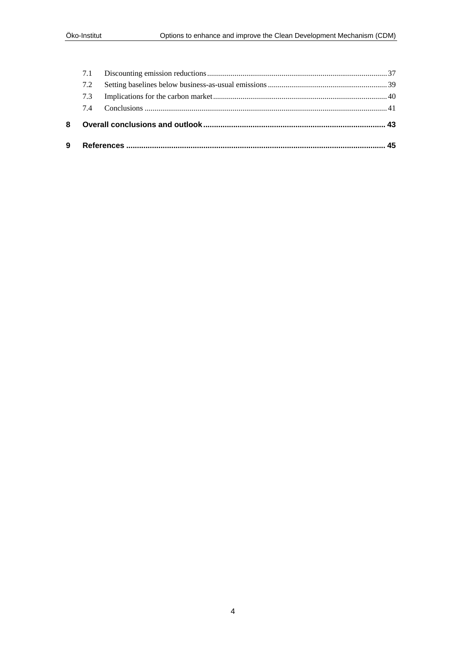| 9 |     |  |  |
|---|-----|--|--|
| 8 |     |  |  |
|   | 74  |  |  |
|   | 7.3 |  |  |
|   | 7.2 |  |  |
|   | 7.1 |  |  |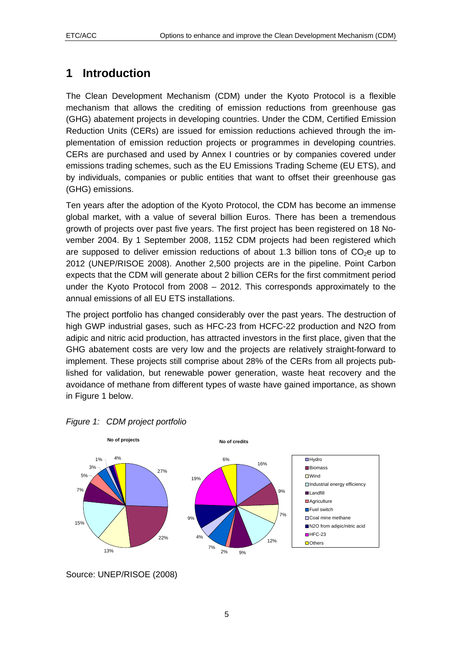# <span id="page-4-0"></span>**1 Introduction**

The Clean Development Mechanism (CDM) under the Kyoto Protocol is a flexible mechanism that allows the crediting of emission reductions from greenhouse gas (GHG) abatement projects in developing countries. Under the CDM, Certified Emission Reduction Units (CERs) are issued for emission reductions achieved through the implementation of emission reduction projects or programmes in developing countries. CERs are purchased and used by Annex I countries or by companies covered under emissions trading schemes, such as the EU Emissions Trading Scheme (EU ETS), and by individuals, companies or public entities that want to offset their greenhouse gas (GHG) emissions.

Ten years after the adoption of the Kyoto Protocol, the CDM has become an immense global market, with a value of several billion Euros. There has been a tremendous growth of projects over past five years. The first project has been registered on 18 November 2004. By 1 September 2008, 1152 CDM projects had been registered which are supposed to deliver emission reductions of about 1.3 billion tons of  $CO<sub>2</sub>e$  up to 2012 (UNEP/RISOE 2008). Another 2,500 projects are in the pipeline. Point Carbon expects that the CDM will generate about 2 billion CERs for the first commitment period under the Kyoto Protocol from 2008 – 2012. This corresponds approximately to the annual emissions of all EU ETS installations.

The project portfolio has changed considerably over the past years. The destruction of high GWP industrial gases, such as HFC-23 from HCFC-22 production and N2O from adipic and nitric acid production, has attracted investors in the first place, given that the GHG abatement costs are very low and the projects are relatively straight-forward to implement. These projects still comprise about 28% of the CERs from all projects published for validation, but renewable power generation, waste heat recovery and the avoidance of methane from different types of waste have gained importance, as shown in [Figure 1](#page-4-0) below.





Source: UNEP/RISOE (2008)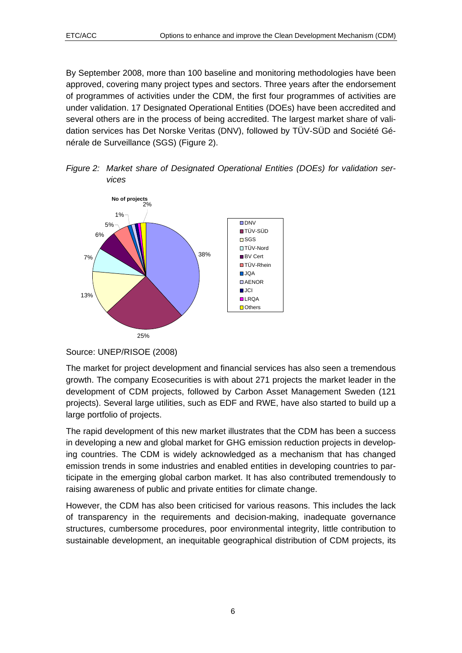<span id="page-5-0"></span>By September 2008, more than 100 baseline and monitoring methodologies have been approved, covering many project types and sectors. Three years after the endorsement of programmes of activities under the CDM, the first four programmes of activities are under validation. 17 Designated Operational Entities (DOEs) have been accredited and several others are in the process of being accredited. The largest market share of validation services has Det Norske Veritas (DNV), followed by TÜV-SÜD and Société Générale de Surveillance (SGS) [\(Figure 2\)](#page-5-0).

*Figure 2: Market share of Designated Operational Entities (DOEs) for validation services* 



Source: UNEP/RISOE (2008)

The market for project development and financial services has also seen a tremendous growth. The company Ecosecurities is with about 271 projects the market leader in the development of CDM projects, followed by Carbon Asset Management Sweden (121 projects). Several large utilities, such as EDF and RWE, have also started to build up a large portfolio of projects.

The rapid development of this new market illustrates that the CDM has been a success in developing a new and global market for GHG emission reduction projects in developing countries. The CDM is widely acknowledged as a mechanism that has changed emission trends in some industries and enabled entities in developing countries to participate in the emerging global carbon market. It has also contributed tremendously to raising awareness of public and private entities for climate change.

However, the CDM has also been criticised for various reasons. This includes the lack of transparency in the requirements and decision-making, inadequate governance structures, cumbersome procedures, poor environmental integrity, little contribution to sustainable development, an inequitable geographical distribution of CDM projects, its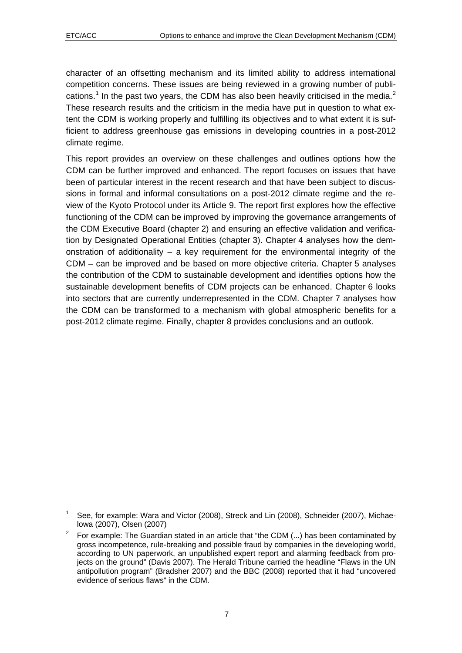1

character of an offsetting mechanism and its limited ability to address international competition concerns. These issues are being reviewed in a growing number of publi-cations.<sup>[1](#page-6-0)</sup> In the past two years, the CDM has also been heavily criticised in the media.<sup>[2](#page-6-1)</sup> These research results and the criticism in the media have put in question to what extent the CDM is working properly and fulfilling its objectives and to what extent it is sufficient to address greenhouse gas emissions in developing countries in a post-2012 climate regime.

This report provides an overview on these challenges and outlines options how the CDM can be further improved and enhanced. The report focuses on issues that have been of particular interest in the recent research and that have been subject to discussions in formal and informal consultations on a post-2012 climate regime and the review of the Kyoto Protocol under its Article 9. The report first explores how the effective functioning of the CDM can be improved by improving the governance arrangements of the CDM Executive Board (chapter [2\)](#page-7-0) and ensuring an effective validation and verification by Designated Operational Entities (chapter [3\)](#page-13-0). Chapter [4](#page-19-0) analyses how the demonstration of additionality – a key requirement for the environmental integrity of the CDM – can be improved and be based on more objective criteria. Chapter [5](#page-25-0) analyses the contribution of the CDM to sustainable development and identifies options how the sustainable development benefits of CDM projects can be enhanced. Chapter [6](#page-31-0) looks into sectors that are currently underrepresented in the CDM. Chapter [7](#page-35-0) analyses how the CDM can be transformed to a mechanism with global atmospheric benefits for a post-2012 climate regime. Finally, chapter [8](#page-42-0) provides conclusions and an outlook.

<span id="page-6-0"></span><sup>1</sup> See, for example: Wara and Victor (2008), Streck and Lin (2008), Schneider (2007), Michaelowa (2007), Olsen (2007)

<span id="page-6-1"></span><sup>2</sup> For example: The Guardian stated in an article that "the CDM (...) has been contaminated by gross incompetence, rule-breaking and possible fraud by companies in the developing world, according to UN paperwork, an unpublished expert report and alarming feedback from projects on the ground" (Davis 2007). The Herald Tribune carried the headline "Flaws in the UN antipollution program" (Bradsher 2007) and the BBC (2008) reported that it had "uncovered evidence of serious flaws" in the CDM.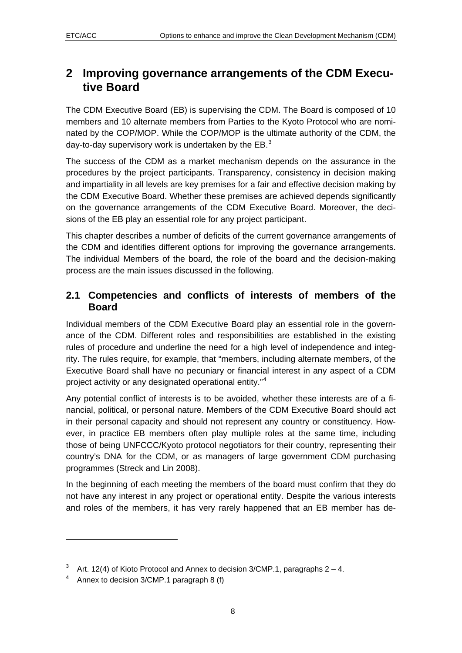# <span id="page-7-0"></span>**2 Improving governance arrangements of the CDM Executive Board**

The CDM Executive Board (EB) is supervising the CDM. The Board is composed of 10 members and 10 alternate members from Parties to the Kyoto Protocol who are nominated by the COP/MOP. While the COP/MOP is the ultimate authority of the CDM, the day-to-day supervisory work is undertaken by the  $EB.^3$  $EB.^3$ 

The success of the CDM as a market mechanism depends on the assurance in the procedures by the project participants. Transparency, consistency in decision making and impartiality in all levels are key premises for a fair and effective decision making by the CDM Executive Board. Whether these premises are achieved depends significantly on the governance arrangements of the CDM Executive Board. Moreover, the decisions of the EB play an essential role for any project participant.

This chapter describes a number of deficits of the current governance arrangements of the CDM and identifies different options for improving the governance arrangements. The individual Members of the board, the role of the board and the decision-making process are the main issues discussed in the following.

### **2.1 Competencies and conflicts of interests of members of the Board**

Individual members of the CDM Executive Board play an essential role in the governance of the CDM. Different roles and responsibilities are established in the existing rules of procedure and underline the need for a high level of independence and integrity. The rules require, for example, that "members, including alternate members, of the Executive Board shall have no pecuniary or financial interest in any aspect of a CDM project activity or any designated operational entity."[4](#page-7-2)

Any potential conflict of interests is to be avoided, whether these interests are of a financial, political, or personal nature. Members of the CDM Executive Board should act in their personal capacity and should not represent any country or constituency. However, in practice EB members often play multiple roles at the same time, including those of being UNFCCC/Kyoto protocol negotiators for their country, representing their country's DNA for the CDM, or as managers of large government CDM purchasing programmes (Streck and Lin 2008).

In the beginning of each meeting the members of the board must confirm that they do not have any interest in any project or operational entity. Despite the various interests and roles of the members, it has very rarely happened that an EB member has de-

1

<span id="page-7-1"></span><sup>3</sup> Art. 12(4) of Kioto Protocol and Annex to decision 3/CMP.1, paragraphs 2 – 4.

<span id="page-7-2"></span><sup>4</sup> Annex to decision 3/CMP.1 paragraph 8 (f)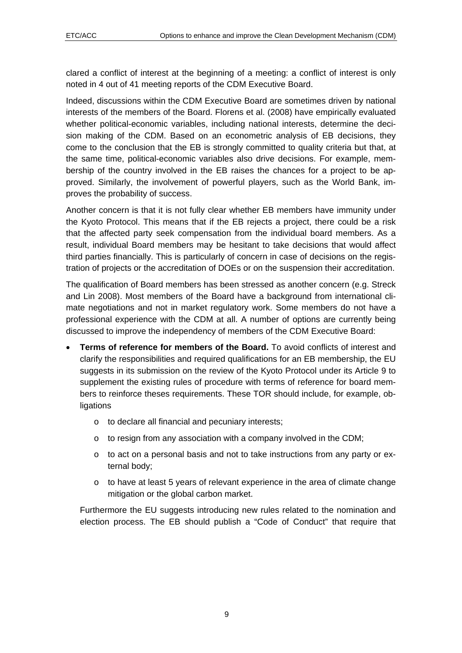clared a conflict of interest at the beginning of a meeting: a conflict of interest is only noted in 4 out of 41 meeting reports of the CDM Executive Board.

Indeed, discussions within the CDM Executive Board are sometimes driven by national interests of the members of the Board. Florens et al. (2008) have empirically evaluated whether political-economic variables, including national interests, determine the decision making of the CDM. Based on an econometric analysis of EB decisions, they come to the conclusion that the EB is strongly committed to quality criteria but that, at the same time, political-economic variables also drive decisions. For example, membership of the country involved in the EB raises the chances for a project to be approved. Similarly, the involvement of powerful players, such as the World Bank, improves the probability of success.

Another concern is that it is not fully clear whether EB members have immunity under the Kyoto Protocol. This means that if the EB rejects a project, there could be a risk that the affected party seek compensation from the individual board members. As a result, individual Board members may be hesitant to take decisions that would affect third parties financially. This is particularly of concern in case of decisions on the registration of projects or the accreditation of DOEs or on the suspension their accreditation.

The qualification of Board members has been stressed as another concern (e.g. Streck and Lin 2008). Most members of the Board have a background from international climate negotiations and not in market regulatory work. Some members do not have a professional experience with the CDM at all. A number of options are currently being discussed to improve the independency of members of the CDM Executive Board:

- **Terms of reference for members of the Board.** To avoid conflicts of interest and clarify the responsibilities and required qualifications for an EB membership, the EU suggests in its submission on the review of the Kyoto Protocol under its Article 9 to supplement the existing rules of procedure with terms of reference for board members to reinforce theses requirements. These TOR should include, for example, ob**ligations** 
	- o to declare all financial and pecuniary interests;
	- o to resign from any association with a company involved in the CDM;
	- $\circ$  to act on a personal basis and not to take instructions from any party or external body;
	- o to have at least 5 years of relevant experience in the area of climate change mitigation or the global carbon market.

Furthermore the EU suggests introducing new rules related to the nomination and election process. The EB should publish a "Code of Conduct" that require that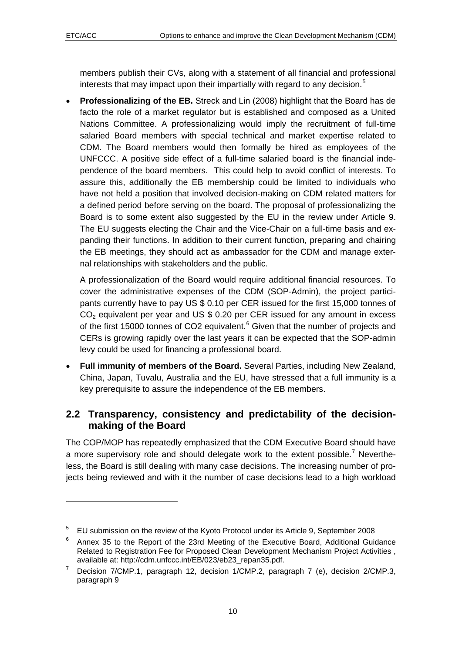$\overline{a}$ 

<span id="page-9-0"></span>members publish their CVs, along with a statement of all financial and professional interests that may impact upon their impartially with regard to any decision.<sup>[5](#page-9-1)</sup>

• **Professionalizing of the EB.** Streck and Lin (2008) highlight that the Board has de facto the role of a market regulator but is established and composed as a United Nations Committee. A professionalizing would imply the recruitment of full-time salaried Board members with special technical and market expertise related to CDM. The Board members would then formally be hired as employees of the UNFCCC. A positive side effect of a full-time salaried board is the financial independence of the board members. This could help to avoid conflict of interests. To assure this, additionally the EB membership could be limited to individuals who have not held a position that involved decision-making on CDM related matters for a defined period before serving on the board. The proposal of professionalizing the Board is to some extent also suggested by the EU in the review under Article 9. The EU suggests electing the Chair and the Vice-Chair on a full-time basis and expanding their functions. In addition to their current function, preparing and chairing the EB meetings, they should act as ambassador for the CDM and manage external relationships with stakeholders and the public.

A professionalization of the Board would require additional financial resources. To cover the administrative expenses of the CDM (SOP-Admin), the project participants currently have to pay US \$ 0.10 per CER issued for the first 15,000 tonnes of  $CO<sub>2</sub>$  equivalent per year and US \$ 0.20 per CER issued for any amount in excess of the first 15000 tonnes of CO2 equivalent. $6$  Given that the number of projects and CERs is growing rapidly over the last years it can be expected that the SOP-admin levy could be used for financing a professional board.

• **Full immunity of members of the Board.** Several Parties, including New Zealand, China, Japan, Tuvalu, Australia and the EU, have stressed that a full immunity is a key prerequisite to assure the independence of the EB members.

#### **2.2 Transparency, consistency and predictability of the decisionmaking of the Board**

The COP/MOP has repeatedly emphasized that the CDM Executive Board should have a more supervisory role and should delegate work to the extent possible.<sup>[7](#page-9-3)</sup> Nevertheless, the Board is still dealing with many case decisions. The increasing number of projects being reviewed and with it the number of case decisions lead to a high workload

<span id="page-9-1"></span><sup>5</sup> EU submission on the review of the Kyoto Protocol under its Article 9, September 2008

<span id="page-9-2"></span><sup>6</sup> Annex 35 to the Report of the 23rd Meeting of the Executive Board, Additional Guidance Related to Registration Fee for Proposed Clean Development Mechanism Project Activities , available at: http://cdm.unfccc.int/EB/023/eb23\_repan35.pdf.<br>7 Decision 7/CMD 1, personnel 12, decision 1/CMD 2, person

<span id="page-9-3"></span>Decision 7/CMP.1, paragraph 12, decision 1/CMP.2, paragraph 7 (e), decision 2/CMP.3, paragraph 9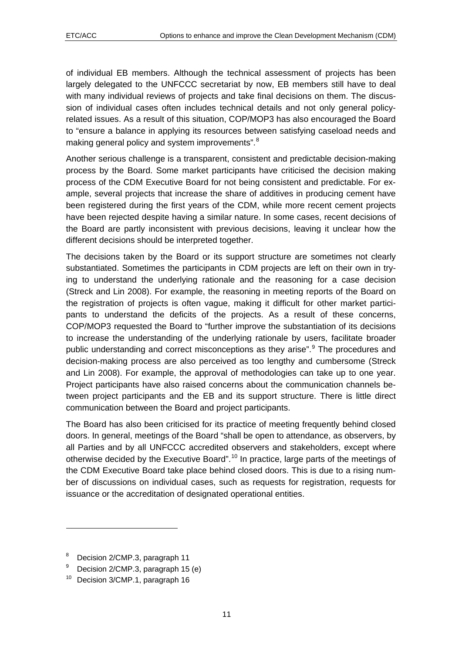of individual EB members. Although the technical assessment of projects has been largely delegated to the UNFCCC secretariat by now, EB members still have to deal with many individual reviews of projects and take final decisions on them. The discussion of individual cases often includes technical details and not only general policyrelated issues. As a result of this situation, COP/MOP3 has also encouraged the Board to "ensure a balance in applying its resources between satisfying caseload needs and making general policy and system improvements".<sup>[8](#page-10-0)</sup>

Another serious challenge is a transparent, consistent and predictable decision-making process by the Board. Some market participants have criticised the decision making process of the CDM Executive Board for not being consistent and predictable. For example, several projects that increase the share of additives in producing cement have been registered during the first years of the CDM, while more recent cement projects have been rejected despite having a similar nature. In some cases, recent decisions of the Board are partly inconsistent with previous decisions, leaving it unclear how the different decisions should be interpreted together.

The decisions taken by the Board or its support structure are sometimes not clearly substantiated. Sometimes the participants in CDM projects are left on their own in trying to understand the underlying rationale and the reasoning for a case decision (Streck and Lin 2008). For example, the reasoning in meeting reports of the Board on the registration of projects is often vague, making it difficult for other market participants to understand the deficits of the projects. As a result of these concerns, COP/MOP3 requested the Board to "further improve the substantiation of its decisions to increase the understanding of the underlying rationale by users, facilitate broader public understanding and correct misconceptions as they arise".<sup>[9](#page-10-1)</sup> The procedures and decision-making process are also perceived as too lengthy and cumbersome (Streck and Lin 2008). For example, the approval of methodologies can take up to one year. Project participants have also raised concerns about the communication channels between project participants and the EB and its support structure. There is little direct communication between the Board and project participants.

The Board has also been criticised for its practice of meeting frequently behind closed doors. In general, meetings of the Board "shall be open to attendance, as observers, by all Parties and by all UNFCCC accredited observers and stakeholders, except where otherwise decided by the Executive Board", <sup>[1](#page-10-2)0</sup> In practice, large parts of the meetings of the CDM Executive Board take place behind closed doors. This is due to a rising number of discussions on individual cases, such as requests for registration, requests for issuance or the accreditation of designated operational entities.

 $\overline{a}$ 

<span id="page-10-0"></span><sup>8</sup> Decision 2/CMP.3, paragraph 11

<span id="page-10-1"></span><sup>9</sup> Decision 2/CMP.3, paragraph 15 (e)

<span id="page-10-2"></span><sup>&</sup>lt;sup>10</sup> Decision 3/CMP.1, paragraph 16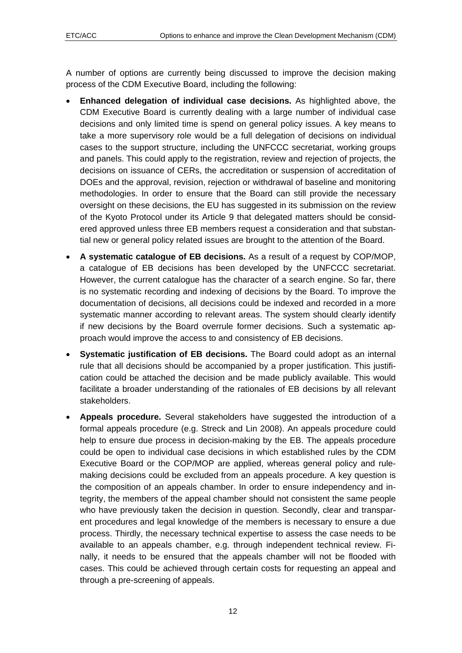A number of options are currently being discussed to improve the decision making process of the CDM Executive Board, including the following:

- **Enhanced delegation of individual case decisions.** As highlighted above, the CDM Executive Board is currently dealing with a large number of individual case decisions and only limited time is spend on general policy issues. A key means to take a more supervisory role would be a full delegation of decisions on individual cases to the support structure, including the UNFCCC secretariat, working groups and panels. This could apply to the registration, review and rejection of projects, the decisions on issuance of CERs, the accreditation or suspension of accreditation of DOEs and the approval, revision, rejection or withdrawal of baseline and monitoring methodologies. In order to ensure that the Board can still provide the necessary oversight on these decisions, the EU has suggested in its submission on the review of the Kyoto Protocol under its Article 9 that delegated matters should be considered approved unless three EB members request a consideration and that substantial new or general policy related issues are brought to the attention of the Board.
- **A systematic catalogue of EB decisions.** As a result of a request by COP/MOP, a catalogue of EB decisions has been developed by the UNFCCC secretariat. However, the current catalogue has the character of a search engine. So far, there is no systematic recording and indexing of decisions by the Board. To improve the documentation of decisions, all decisions could be indexed and recorded in a more systematic manner according to relevant areas. The system should clearly identify if new decisions by the Board overrule former decisions. Such a systematic approach would improve the access to and consistency of EB decisions.
- **Systematic justification of EB decisions.** The Board could adopt as an internal rule that all decisions should be accompanied by a proper justification. This justification could be attached the decision and be made publicly available. This would facilitate a broader understanding of the rationales of EB decisions by all relevant stakeholders.
- **Appeals procedure.** Several stakeholders have suggested the introduction of a formal appeals procedure (e.g. Streck and Lin 2008). An appeals procedure could help to ensure due process in decision-making by the EB. The appeals procedure could be open to individual case decisions in which established rules by the CDM Executive Board or the COP/MOP are applied, whereas general policy and rulemaking decisions could be excluded from an appeals procedure. A key question is the composition of an appeals chamber. In order to ensure independency and integrity, the members of the appeal chamber should not consistent the same people who have previously taken the decision in question. Secondly, clear and transparent procedures and legal knowledge of the members is necessary to ensure a due process. Thirdly, the necessary technical expertise to assess the case needs to be available to an appeals chamber, e.g. through independent technical review. Finally, it needs to be ensured that the appeals chamber will not be flooded with cases. This could be achieved through certain costs for requesting an appeal and through a pre-screening of appeals.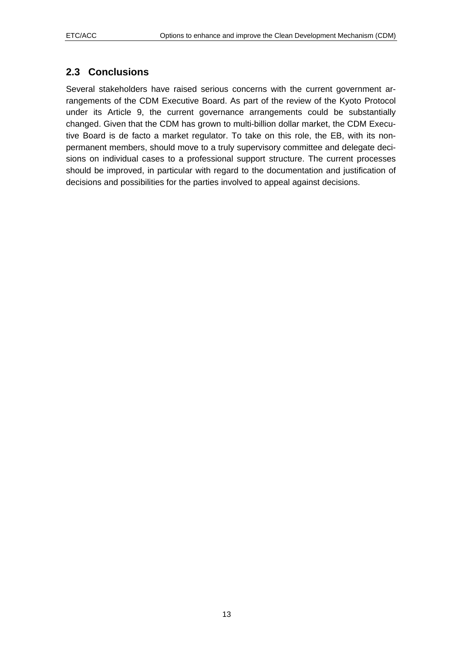#### <span id="page-12-0"></span>**2.3 Conclusions**

Several stakeholders have raised serious concerns with the current government arrangements of the CDM Executive Board. As part of the review of the Kyoto Protocol under its Article 9, the current governance arrangements could be substantially changed. Given that the CDM has grown to multi-billion dollar market, the CDM Executive Board is de facto a market regulator. To take on this role, the EB, with its nonpermanent members, should move to a truly supervisory committee and delegate decisions on individual cases to a professional support structure. The current processes should be improved, in particular with regard to the documentation and justification of decisions and possibilities for the parties involved to appeal against decisions.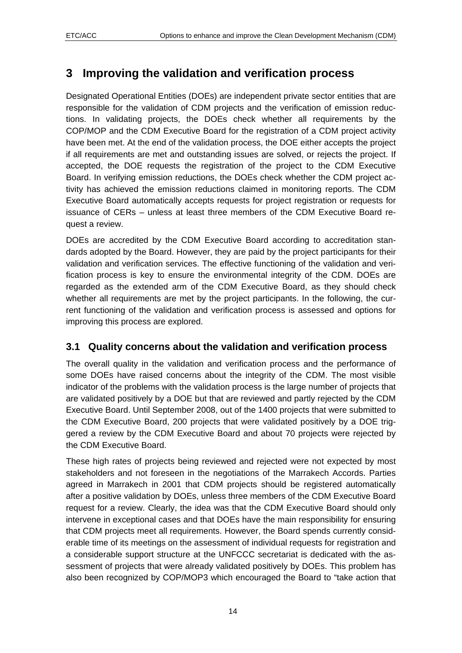# <span id="page-13-0"></span>**3 Improving the validation and verification process**

Designated Operational Entities (DOEs) are independent private sector entities that are responsible for the validation of CDM projects and the verification of emission reductions. In validating projects, the DOEs check whether all requirements by the COP/MOP and the CDM Executive Board for the registration of a CDM project activity have been met. At the end of the validation process, the DOE either accepts the project if all requirements are met and outstanding issues are solved, or rejects the project. If accepted, the DOE requests the registration of the project to the CDM Executive Board. In verifying emission reductions, the DOEs check whether the CDM project activity has achieved the emission reductions claimed in monitoring reports. The CDM Executive Board automatically accepts requests for project registration or requests for issuance of CERs – unless at least three members of the CDM Executive Board request a review.

DOEs are accredited by the CDM Executive Board according to accreditation standards adopted by the Board. However, they are paid by the project participants for their validation and verification services. The effective functioning of the validation and verification process is key to ensure the environmental integrity of the CDM. DOEs are regarded as the extended arm of the CDM Executive Board, as they should check whether all requirements are met by the project participants. In the following, the current functioning of the validation and verification process is assessed and options for improving this process are explored.

#### **3.1 Quality concerns about the validation and verification process**

The overall quality in the validation and verification process and the performance of some DOEs have raised concerns about the integrity of the CDM. The most visible indicator of the problems with the validation process is the large number of projects that are validated positively by a DOE but that are reviewed and partly rejected by the CDM Executive Board. Until September 2008, out of the 1400 projects that were submitted to the CDM Executive Board, 200 projects that were validated positively by a DOE triggered a review by the CDM Executive Board and about 70 projects were rejected by the CDM Executive Board.

These high rates of projects being reviewed and rejected were not expected by most stakeholders and not foreseen in the negotiations of the Marrakech Accords. Parties agreed in Marrakech in 2001 that CDM projects should be registered automatically after a positive validation by DOEs, unless three members of the CDM Executive Board request for a review. Clearly, the idea was that the CDM Executive Board should only intervene in exceptional cases and that DOEs have the main responsibility for ensuring that CDM projects meet all requirements. However, the Board spends currently considerable time of its meetings on the assessment of individual requests for registration and a considerable support structure at the UNFCCC secretariat is dedicated with the assessment of projects that were already validated positively by DOEs. This problem has also been recognized by COP/MOP3 which encouraged the Board to "take action that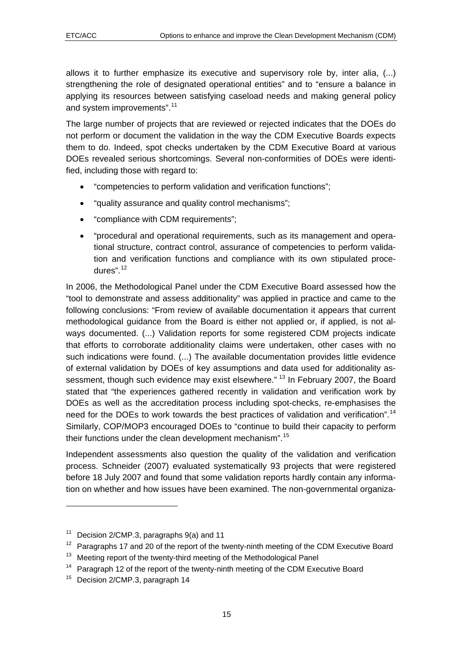allows it to further emphasize its executive and supervisory role by, inter alia, (...) strengthening the role of designated operational entities" and to "ensure a balance in applying its resources between satisfying caseload needs and making general policy and system improvements".<sup>[11](#page-14-0)</sup>

The large number of projects that are reviewed or rejected indicates that the DOEs do not perform or document the validation in the way the CDM Executive Boards expects them to do. Indeed, spot checks undertaken by the CDM Executive Board at various DOEs revealed serious shortcomings. Several non-conformities of DOEs were identified, including those with regard to:

- "competencies to perform validation and verification functions";
- "quality assurance and quality control mechanisms";
- "compliance with CDM requirements";
- "procedural and operational requirements, such as its management and operational structure, contract control, assurance of competencies to perform validation and verification functions and compliance with its own stipulated procedures".[12](#page-14-1)

In 2006, the Methodological Panel under the CDM Executive Board assessed how the "tool to demonstrate and assess additionality" was applied in practice and came to the following conclusions: "From review of available documentation it appears that current methodological guidance from the Board is either not applied or, if applied, is not always documented. (...) Validation reports for some registered CDM projects indicate that efforts to corroborate additionality claims were undertaken, other cases with no such indications were found. (...) The available documentation provides little evidence of external validation by DOEs of key assumptions and data used for additionality as-sessment, though such evidence may exist elsewhere." <sup>[13](#page-14-2)</sup> In February 2007, the Board stated that "the experiences gathered recently in validation and verification work by DOEs as well as the accreditation process including spot-checks, re-emphasises the need for the DOEs to work towards the best practices of validation and verification".[1](#page-14-3)4 Similarly, COP/MOP3 encouraged DOEs to "continue to build their capacity to perform their functions under the clean development mechanism".<sup>[15](#page-14-4)</sup>

Independent assessments also question the quality of the validation and verification process. Schneider (2007) evaluated systematically 93 projects that were registered before 18 July 2007 and found that some validation reports hardly contain any information on whether and how issues have been examined. The non-governmental organiza-

1

<span id="page-14-0"></span><sup>&</sup>lt;sup>11</sup> Decision 2/CMP.3, paragraphs 9(a) and 11

<span id="page-14-1"></span> $12$  Paragraphs 17 and 20 of the report of the twenty-ninth meeting of the CDM Executive Board

<span id="page-14-2"></span><sup>&</sup>lt;sup>13</sup> Meeting report of the twenty-third meeting of the Methodological Panel

<span id="page-14-3"></span><sup>&</sup>lt;sup>14</sup> Paragraph 12 of the report of the twenty-ninth meeting of the CDM Executive Board

<span id="page-14-4"></span><sup>&</sup>lt;sup>15</sup> Decision 2/CMP.3, paragraph 14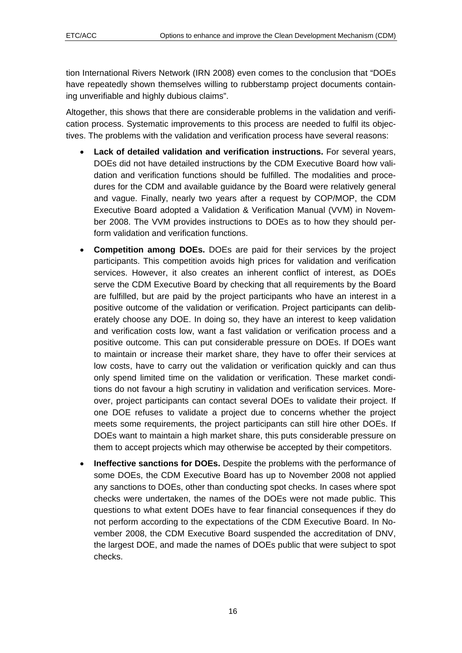tion International Rivers Network (IRN 2008) even comes to the conclusion that "DOEs have repeatedly shown themselves willing to rubberstamp project documents containing unverifiable and highly dubious claims".

Altogether, this shows that there are considerable problems in the validation and verification process. Systematic improvements to this process are needed to fulfil its objectives. The problems with the validation and verification process have several reasons:

- **Lack of detailed validation and verification instructions.** For several years, DOEs did not have detailed instructions by the CDM Executive Board how validation and verification functions should be fulfilled. The modalities and procedures for the CDM and available guidance by the Board were relatively general and vague. Finally, nearly two years after a request by COP/MOP, the CDM Executive Board adopted a Validation & Verification Manual (VVM) in November 2008. The VVM provides instructions to DOEs as to how they should perform validation and verification functions.
- **Competition among DOEs.** DOEs are paid for their services by the project participants. This competition avoids high prices for validation and verification services. However, it also creates an inherent conflict of interest, as DOEs serve the CDM Executive Board by checking that all requirements by the Board are fulfilled, but are paid by the project participants who have an interest in a positive outcome of the validation or verification. Project participants can deliberately choose any DOE. In doing so, they have an interest to keep validation and verification costs low, want a fast validation or verification process and a positive outcome. This can put considerable pressure on DOEs. If DOEs want to maintain or increase their market share, they have to offer their services at low costs, have to carry out the validation or verification quickly and can thus only spend limited time on the validation or verification. These market conditions do not favour a high scrutiny in validation and verification services. Moreover, project participants can contact several DOEs to validate their project. If one DOE refuses to validate a project due to concerns whether the project meets some requirements, the project participants can still hire other DOEs. If DOEs want to maintain a high market share, this puts considerable pressure on them to accept projects which may otherwise be accepted by their competitors.
- **Ineffective sanctions for DOEs.** Despite the problems with the performance of some DOEs, the CDM Executive Board has up to November 2008 not applied any sanctions to DOEs, other than conducting spot checks. In cases where spot checks were undertaken, the names of the DOEs were not made public. This questions to what extent DOEs have to fear financial consequences if they do not perform according to the expectations of the CDM Executive Board. In November 2008, the CDM Executive Board suspended the accreditation of DNV, the largest DOE, and made the names of DOEs public that were subject to spot checks.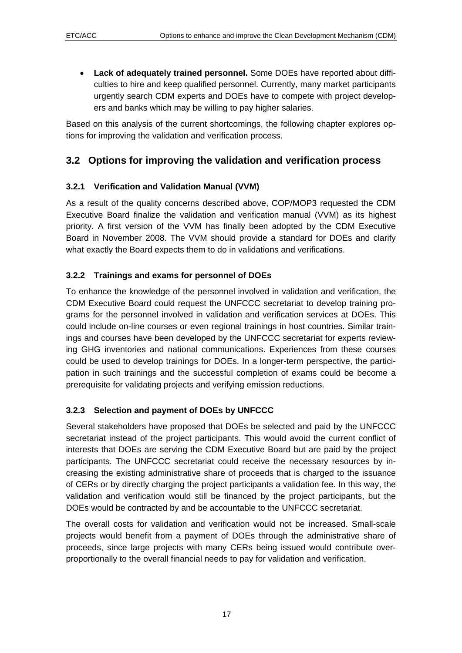<span id="page-16-0"></span>• **Lack of adequately trained personnel.** Some DOEs have reported about difficulties to hire and keep qualified personnel. Currently, many market participants urgently search CDM experts and DOEs have to compete with project developers and banks which may be willing to pay higher salaries.

Based on this analysis of the current shortcomings, the following chapter explores options for improving the validation and verification process.

## **3.2 Options for improving the validation and verification process**

#### **3.2.1 Verification and Validation Manual (VVM)**

As a result of the quality concerns described above, COP/MOP3 requested the CDM Executive Board finalize the validation and verification manual (VVM) as its highest priority. A first version of the VVM has finally been adopted by the CDM Executive Board in November 2008. The VVM should provide a standard for DOEs and clarify what exactly the Board expects them to do in validations and verifications.

#### **3.2.2 Trainings and exams for personnel of DOEs**

To enhance the knowledge of the personnel involved in validation and verification, the CDM Executive Board could request the UNFCCC secretariat to develop training programs for the personnel involved in validation and verification services at DOEs. This could include on-line courses or even regional trainings in host countries. Similar trainings and courses have been developed by the UNFCCC secretariat for experts reviewing GHG inventories and national communications. Experiences from these courses could be used to develop trainings for DOEs. In a longer-term perspective, the participation in such trainings and the successful completion of exams could be become a prerequisite for validating projects and verifying emission reductions.

#### **3.2.3 Selection and payment of DOEs by UNFCCC**

Several stakeholders have proposed that DOEs be selected and paid by the UNFCCC secretariat instead of the project participants. This would avoid the current conflict of interests that DOEs are serving the CDM Executive Board but are paid by the project participants. The UNFCCC secretariat could receive the necessary resources by increasing the existing administrative share of proceeds that is charged to the issuance of CERs or by directly charging the project participants a validation fee. In this way, the validation and verification would still be financed by the project participants, but the DOEs would be contracted by and be accountable to the UNFCCC secretariat.

The overall costs for validation and verification would not be increased. Small-scale projects would benefit from a payment of DOEs through the administrative share of proceeds, since large projects with many CERs being issued would contribute overproportionally to the overall financial needs to pay for validation and verification.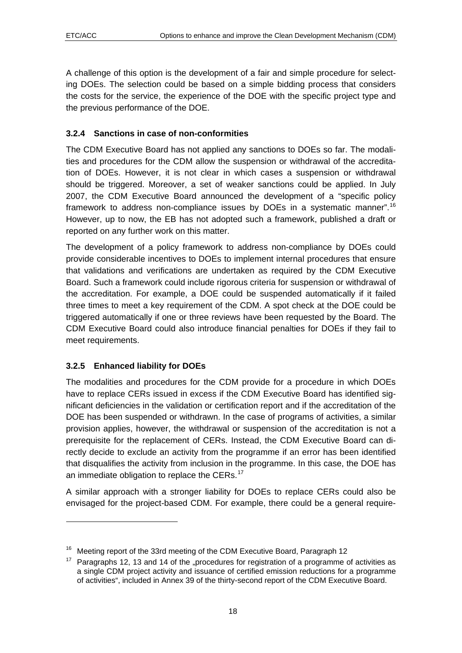<span id="page-17-0"></span>A challenge of this option is the development of a fair and simple procedure for selecting DOEs. The selection could be based on a simple bidding process that considers the costs for the service, the experience of the DOE with the specific project type and the previous performance of the DOE.

#### **3.2.4 Sanctions in case of non-conformities**

The CDM Executive Board has not applied any sanctions to DOEs so far. The modalities and procedures for the CDM allow the suspension or withdrawal of the accreditation of DOEs. However, it is not clear in which cases a suspension or withdrawal should be triggered. Moreover, a set of weaker sanctions could be applied. In July 2007, the CDM Executive Board announced the development of a "specific policy framework to address non-compliance issues by DOEs in a systematic manner".[1](#page-17-1)6 However, up to now, the EB has not adopted such a framework, published a draft or reported on any further work on this matter.

The development of a policy framework to address non-compliance by DOEs could provide considerable incentives to DOEs to implement internal procedures that ensure that validations and verifications are undertaken as required by the CDM Executive Board. Such a framework could include rigorous criteria for suspension or withdrawal of the accreditation. For example, a DOE could be suspended automatically if it failed three times to meet a key requirement of the CDM. A spot check at the DOE could be triggered automatically if one or three reviews have been requested by the Board. The CDM Executive Board could also introduce financial penalties for DOEs if they fail to meet requirements.

#### **3.2.5 Enhanced liability for DOEs**

1

The modalities and procedures for the CDM provide for a procedure in which DOEs have to replace CERs issued in excess if the CDM Executive Board has identified significant deficiencies in the validation or certification report and if the accreditation of the DOE has been suspended or withdrawn. In the case of programs of activities, a similar provision applies, however, the withdrawal or suspension of the accreditation is not a prerequisite for the replacement of CERs. Instead, the CDM Executive Board can directly decide to exclude an activity from the programme if an error has been identified that disqualifies the activity from inclusion in the programme. In this case, the DOE has an immediate obligation to replace the CERs. $17$  $17$ 

A similar approach with a stronger liability for DOEs to replace CERs could also be envisaged for the project-based CDM. For example, there could be a general require-

<span id="page-17-1"></span><sup>&</sup>lt;sup>16</sup> Meeting report of the 33rd meeting of the CDM Executive Board, Paragraph 12

<span id="page-17-2"></span> $17$  Paragraphs 12, 13 and 14 of the "procedures for registration of a programme of activities as a single CDM project activity and issuance of certified emission reductions for a programme of activities", included in Annex 39 of the thirty-second report of the CDM Executive Board.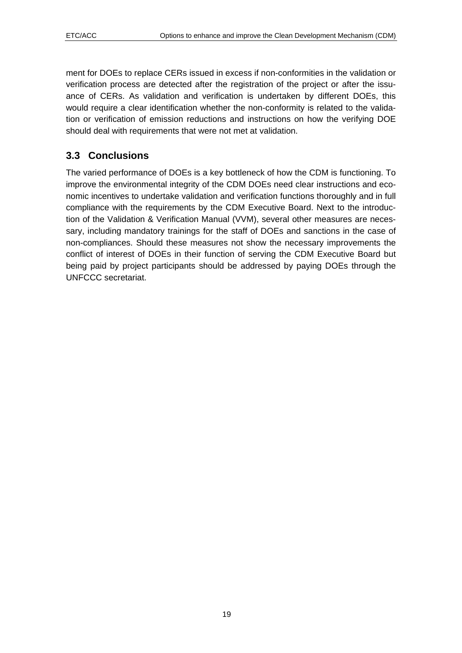<span id="page-18-0"></span>ment for DOEs to replace CERs issued in excess if non-conformities in the validation or verification process are detected after the registration of the project or after the issuance of CERs. As validation and verification is undertaken by different DOEs, this would require a clear identification whether the non-conformity is related to the validation or verification of emission reductions and instructions on how the verifying DOE should deal with requirements that were not met at validation.

## **3.3 Conclusions**

The varied performance of DOEs is a key bottleneck of how the CDM is functioning. To improve the environmental integrity of the CDM DOEs need clear instructions and economic incentives to undertake validation and verification functions thoroughly and in full compliance with the requirements by the CDM Executive Board. Next to the introduction of the Validation & Verification Manual (VVM), several other measures are necessary, including mandatory trainings for the staff of DOEs and sanctions in the case of non-compliances. Should these measures not show the necessary improvements the conflict of interest of DOEs in their function of serving the CDM Executive Board but being paid by project participants should be addressed by paying DOEs through the UNFCCC secretariat.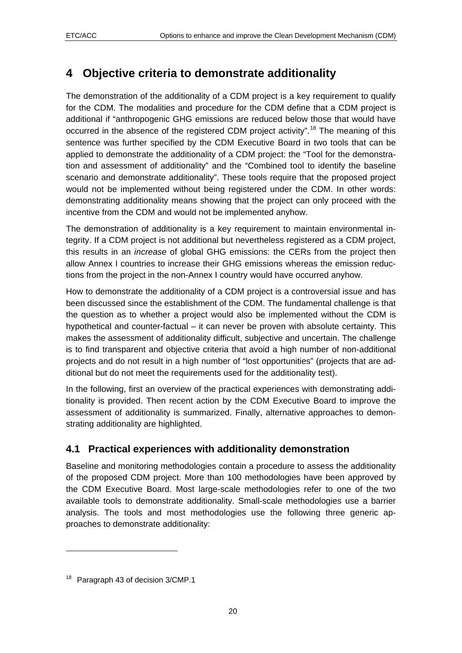# <span id="page-19-0"></span>**4 Objective criteria to demonstrate additionality**

The demonstration of the additionality of a CDM project is a key requirement to qualify for the CDM. The modalities and procedure for the CDM define that a CDM project is additional if "anthropogenic GHG emissions are reduced below those that would have occurred in the absence of the registered CDM project activity".<sup>[18](#page-19-1)</sup> The meaning of this sentence was further specified by the CDM Executive Board in two tools that can be applied to demonstrate the additionality of a CDM project: the "Tool for the demonstration and assessment of additionality" and the "Combined tool to identify the baseline scenario and demonstrate additionality". These tools require that the proposed project would not be implemented without being registered under the CDM. In other words: demonstrating additionality means showing that the project can only proceed with the incentive from the CDM and would not be implemented anyhow.

The demonstration of additionality is a key requirement to maintain environmental integrity. If a CDM project is not additional but nevertheless registered as a CDM project, this results in an *increase* of global GHG emissions: the CERs from the project then allow Annex I countries to increase their GHG emissions whereas the emission reductions from the project in the non-Annex I country would have occurred anyhow.

How to demonstrate the additionality of a CDM project is a controversial issue and has been discussed since the establishment of the CDM. The fundamental challenge is that the question as to whether a project would also be implemented without the CDM is hypothetical and counter-factual – it can never be proven with absolute certainty. This makes the assessment of additionality difficult, subjective and uncertain. The challenge is to find transparent and objective criteria that avoid a high number of non-additional projects and do not result in a high number of "lost opportunities" (projects that are additional but do not meet the requirements used for the additionality test).

In the following, first an overview of the practical experiences with demonstrating additionality is provided. Then recent action by the CDM Executive Board to improve the assessment of additionality is summarized. Finally, alternative approaches to demonstrating additionality are highlighted.

## **4.1 Practical experiences with additionality demonstration**

Baseline and monitoring methodologies contain a procedure to assess the additionality of the proposed CDM project. More than 100 methodologies have been approved by the CDM Executive Board. Most large-scale methodologies refer to one of the two available tools to demonstrate additionality. Small-scale methodologies use a barrier analysis. The tools and most methodologies use the following three generic approaches to demonstrate additionality:

1

<span id="page-19-1"></span><sup>&</sup>lt;sup>18</sup> Paragraph 43 of decision 3/CMP.1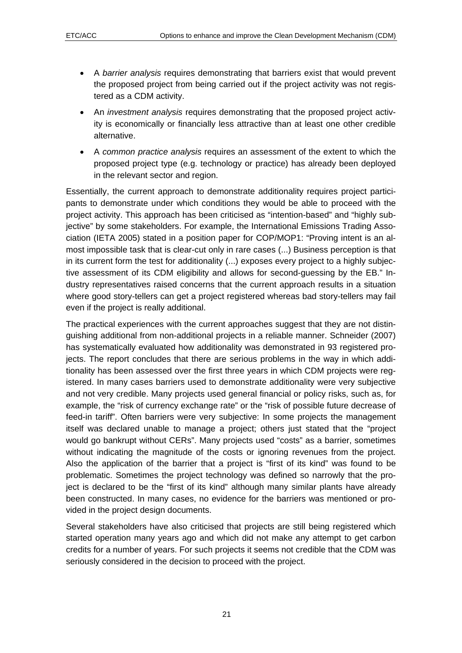- A *barrier analysis* requires demonstrating that barriers exist that would prevent the proposed project from being carried out if the project activity was not registered as a CDM activity.
- An *investment analysis* requires demonstrating that the proposed project activity is economically or financially less attractive than at least one other credible alternative.
- A *common practice analysis* requires an assessment of the extent to which the proposed project type (e.g. technology or practice) has already been deployed in the relevant sector and region.

Essentially, the current approach to demonstrate additionality requires project participants to demonstrate under which conditions they would be able to proceed with the project activity. This approach has been criticised as "intention-based" and "highly subjective" by some stakeholders. For example, the International Emissions Trading Association (IETA 2005) stated in a position paper for COP/MOP1: "Proving intent is an almost impossible task that is clear-cut only in rare cases (...) Business perception is that in its current form the test for additionality (...) exposes every project to a highly subjective assessment of its CDM eligibility and allows for second-guessing by the EB." Industry representatives raised concerns that the current approach results in a situation where good story-tellers can get a project registered whereas bad story-tellers may fail even if the project is really additional.

The practical experiences with the current approaches suggest that they are not distinguishing additional from non-additional projects in a reliable manner. Schneider (2007) has systematically evaluated how additionality was demonstrated in 93 registered projects. The report concludes that there are serious problems in the way in which additionality has been assessed over the first three years in which CDM projects were registered. In many cases barriers used to demonstrate additionality were very subjective and not very credible. Many projects used general financial or policy risks, such as, for example, the "risk of currency exchange rate" or the "risk of possible future decrease of feed-in tariff". Often barriers were very subjective: In some projects the management itself was declared unable to manage a project; others just stated that the "project would go bankrupt without CERs". Many projects used "costs" as a barrier, sometimes without indicating the magnitude of the costs or ignoring revenues from the project. Also the application of the barrier that a project is "first of its kind" was found to be problematic. Sometimes the project technology was defined so narrowly that the project is declared to be the "first of its kind" although many similar plants have already been constructed. In many cases, no evidence for the barriers was mentioned or provided in the project design documents.

Several stakeholders have also criticised that projects are still being registered which started operation many years ago and which did not make any attempt to get carbon credits for a number of years. For such projects it seems not credible that the CDM was seriously considered in the decision to proceed with the project.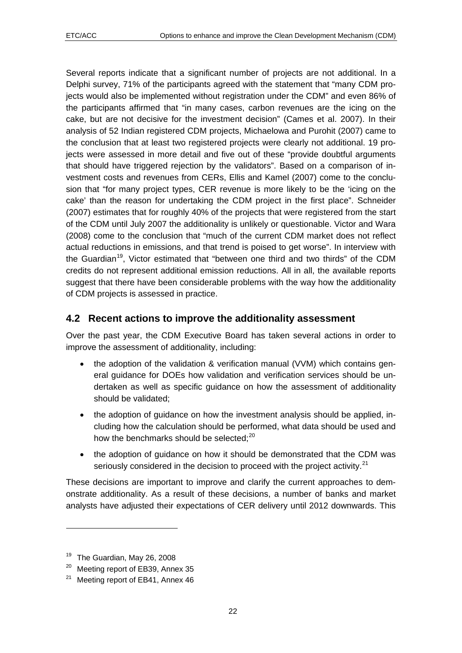<span id="page-21-0"></span>Several reports indicate that a significant number of projects are not additional. In a Delphi survey, 71% of the participants agreed with the statement that "many CDM projects would also be implemented without registration under the CDM" and even 86% of the participants affirmed that "in many cases, carbon revenues are the icing on the cake, but are not decisive for the investment decision" (Cames et al. 2007). In their analysis of 52 Indian registered CDM projects, Michaelowa and Purohit (2007) came to the conclusion that at least two registered projects were clearly not additional. 19 projects were assessed in more detail and five out of these "provide doubtful arguments that should have triggered rejection by the validators". Based on a comparison of investment costs and revenues from CERs, Ellis and Kamel (2007) come to the conclusion that "for many project types, CER revenue is more likely to be the 'icing on the cake' than the reason for undertaking the CDM project in the first place". Schneider (2007) estimates that for roughly 40% of the projects that were registered from the start of the CDM until July 2007 the additionality is unlikely or questionable. Victor and Wara (2008) come to the conclusion that "much of the current CDM market does not reflect actual reductions in emissions, and that trend is poised to get worse". In interview with the Guardian<sup>[1](#page-21-1)9</sup>, Victor estimated that "between one third and two thirds" of the CDM credits do not represent additional emission reductions. All in all, the available reports suggest that there have been considerable problems with the way how the additionality of CDM projects is assessed in practice.

#### **4.2 Recent actions to improve the additionality assessment**

Over the past year, the CDM Executive Board has taken several actions in order to improve the assessment of additionality, including:

- the adoption of the validation & verification manual (VVM) which contains general guidance for DOEs how validation and verification services should be undertaken as well as specific guidance on how the assessment of additionality should be validated;
- the adoption of guidance on how the investment analysis should be applied, including how the calculation should be performed, what data should be used and how the benchmarks should be selected; $^{20}$  $^{20}$  $^{20}$
- the adoption of quidance on how it should be demonstrated that the CDM was seriously considered in the decision to proceed with the project activity.<sup>[21](#page-21-3)</sup>

These decisions are important to improve and clarify the current approaches to demonstrate additionality. As a result of these decisions, a number of banks and market analysts have adjusted their expectations of CER delivery until 2012 downwards. This

 $\overline{a}$ 

<span id="page-21-1"></span><sup>&</sup>lt;sup>19</sup> The Guardian, May 26, 2008

<span id="page-21-2"></span><sup>&</sup>lt;sup>20</sup> Meeting report of EB39, Annex 35

<span id="page-21-3"></span><sup>&</sup>lt;sup>21</sup> Meeting report of EB41, Annex 46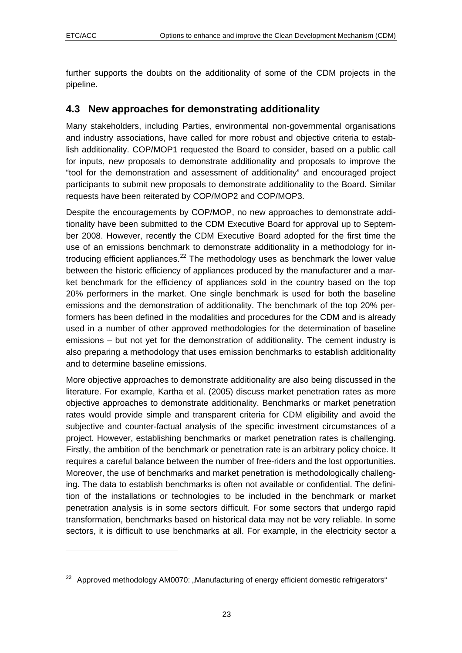1

<span id="page-22-0"></span>further supports the doubts on the additionality of some of the CDM projects in the pipeline.

#### **4.3 New approaches for demonstrating additionality**

Many stakeholders, including Parties, environmental non-governmental organisations and industry associations, have called for more robust and objective criteria to establish additionality. COP/MOP1 requested the Board to consider, based on a public call for inputs, new proposals to demonstrate additionality and proposals to improve the "tool for the demonstration and assessment of additionality" and encouraged project participants to submit new proposals to demonstrate additionality to the Board. Similar requests have been reiterated by COP/MOP2 and COP/MOP3.

Despite the encouragements by COP/MOP, no new approaches to demonstrate additionality have been submitted to the CDM Executive Board for approval up to September 2008. However, recently the CDM Executive Board adopted for the first time the use of an emissions benchmark to demonstrate additionality in a methodology for introducing efficient appliances. $^{22}$  $^{22}$  $^{22}$  The methodology uses as benchmark the lower value between the historic efficiency of appliances produced by the manufacturer and a market benchmark for the efficiency of appliances sold in the country based on the top 20% performers in the market. One single benchmark is used for both the baseline emissions and the demonstration of additionality. The benchmark of the top 20% performers has been defined in the modalities and procedures for the CDM and is already used in a number of other approved methodologies for the determination of baseline emissions – but not yet for the demonstration of additionality. The cement industry is also preparing a methodology that uses emission benchmarks to establish additionality and to determine baseline emissions.

More objective approaches to demonstrate additionality are also being discussed in the literature. For example, Kartha et al. (2005) discuss market penetration rates as more objective approaches to demonstrate additionality. Benchmarks or market penetration rates would provide simple and transparent criteria for CDM eligibility and avoid the subjective and counter-factual analysis of the specific investment circumstances of a project. However, establishing benchmarks or market penetration rates is challenging. Firstly, the ambition of the benchmark or penetration rate is an arbitrary policy choice. It requires a careful balance between the number of free-riders and the lost opportunities. Moreover, the use of benchmarks and market penetration is methodologically challenging. The data to establish benchmarks is often not available or confidential. The definition of the installations or technologies to be included in the benchmark or market penetration analysis is in some sectors difficult. For some sectors that undergo rapid transformation, benchmarks based on historical data may not be very reliable. In some sectors, it is difficult to use benchmarks at all. For example, in the electricity sector a

<span id="page-22-1"></span> $22$  Approved methodology AM0070: "Manufacturing of energy efficient domestic refrigerators"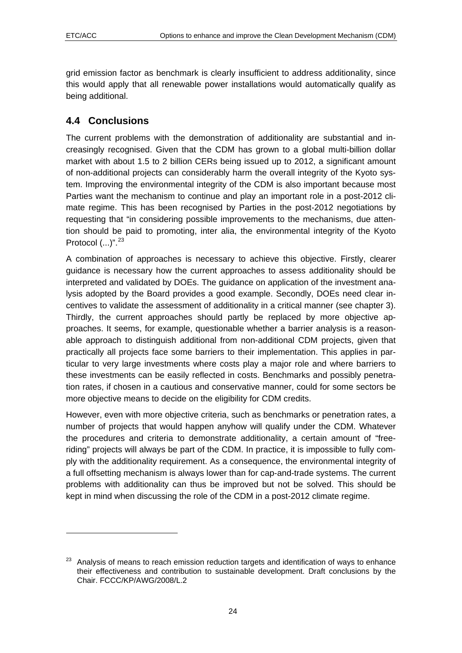$\overline{a}$ 

<span id="page-23-0"></span>grid emission factor as benchmark is clearly insufficient to address additionality, since this would apply that all renewable power installations would automatically qualify as being additional.

#### **4.4 Conclusions**

The current problems with the demonstration of additionality are substantial and increasingly recognised. Given that the CDM has grown to a global multi-billion dollar market with about 1.5 to 2 billion CERs being issued up to 2012, a significant amount of non-additional projects can considerably harm the overall integrity of the Kyoto system. Improving the environmental integrity of the CDM is also important because most Parties want the mechanism to continue and play an important role in a post-2012 climate regime. This has been recognised by Parties in the post-2012 negotiations by requesting that "in considering possible improvements to the mechanisms, due attention should be paid to promoting, inter alia, the environmental integrity of the Kyoto Protocol  $(...)^{n}$ .  $^{23}$  $^{23}$  $^{23}$ 

A combination of approaches is necessary to achieve this objective. Firstly, clearer guidance is necessary how the current approaches to assess additionality should be interpreted and validated by DOEs. The guidance on application of the investment analysis adopted by the Board provides a good example. Secondly, DOEs need clear incentives to validate the assessment of additionality in a critical manner (see chapter [3\)](#page-13-0). Thirdly, the current approaches should partly be replaced by more objective approaches. It seems, for example, questionable whether a barrier analysis is a reasonable approach to distinguish additional from non-additional CDM projects, given that practically all projects face some barriers to their implementation. This applies in particular to very large investments where costs play a major role and where barriers to these investments can be easily reflected in costs. Benchmarks and possibly penetration rates, if chosen in a cautious and conservative manner, could for some sectors be more objective means to decide on the eligibility for CDM credits.

However, even with more objective criteria, such as benchmarks or penetration rates, a number of projects that would happen anyhow will qualify under the CDM. Whatever the procedures and criteria to demonstrate additionality, a certain amount of "freeriding" projects will always be part of the CDM. In practice, it is impossible to fully comply with the additionality requirement. As a consequence, the environmental integrity of a full offsetting mechanism is always lower than for cap-and-trade systems. The current problems with additionality can thus be improved but not be solved. This should be kept in mind when discussing the role of the CDM in a post-2012 climate regime.

<span id="page-23-1"></span><sup>&</sup>lt;sup>23</sup> Analysis of means to reach emission reduction targets and identification of ways to enhance their effectiveness and contribution to sustainable development. Draft conclusions by the Chair. FCCC/KP/AWG/2008/L.2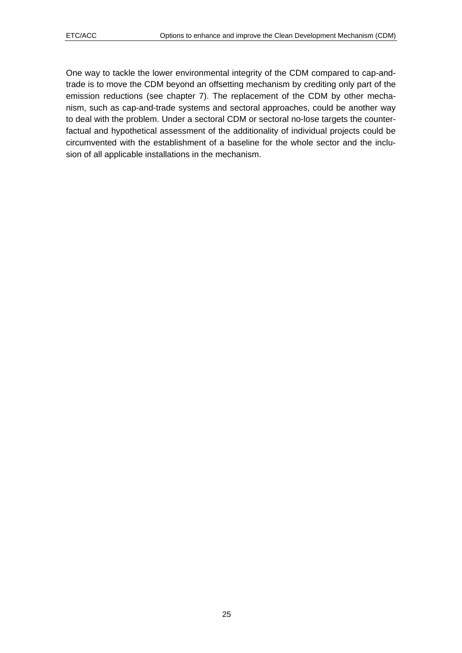One way to tackle the lower environmental integrity of the CDM compared to cap-andtrade is to move the CDM beyond an offsetting mechanism by crediting only part of the emission reductions (see chapter [7\)](#page-35-0). The replacement of the CDM by other mechanism, such as cap-and-trade systems and sectoral approaches, could be another way to deal with the problem. Under a sectoral CDM or sectoral no-lose targets the counterfactual and hypothetical assessment of the additionality of individual projects could be circumvented with the establishment of a baseline for the whole sector and the inclusion of all applicable installations in the mechanism.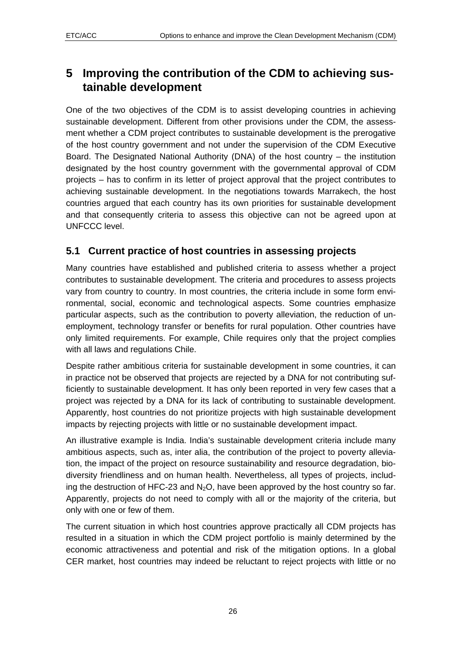## <span id="page-25-0"></span>**5 Improving the contribution of the CDM to achieving sustainable development**

One of the two objectives of the CDM is to assist developing countries in achieving sustainable development. Different from other provisions under the CDM, the assessment whether a CDM project contributes to sustainable development is the prerogative of the host country government and not under the supervision of the CDM Executive Board. The Designated National Authority (DNA) of the host country – the institution designated by the host country government with the governmental approval of CDM projects – has to confirm in its letter of project approval that the project contributes to achieving sustainable development. In the negotiations towards Marrakech, the host countries argued that each country has its own priorities for sustainable development and that consequently criteria to assess this objective can not be agreed upon at UNFCCC level.

#### **5.1 Current practice of host countries in assessing projects**

Many countries have established and published criteria to assess whether a project contributes to sustainable development. The criteria and procedures to assess projects vary from country to country. In most countries, the criteria include in some form environmental, social, economic and technological aspects. Some countries emphasize particular aspects, such as the contribution to poverty alleviation, the reduction of unemployment, technology transfer or benefits for rural population. Other countries have only limited requirements. For example, Chile requires only that the project complies with all laws and regulations Chile.

Despite rather ambitious criteria for sustainable development in some countries, it can in practice not be observed that projects are rejected by a DNA for not contributing sufficiently to sustainable development. It has only been reported in very few cases that a project was rejected by a DNA for its lack of contributing to sustainable development. Apparently, host countries do not prioritize projects with high sustainable development impacts by rejecting projects with little or no sustainable development impact.

An illustrative example is India. India's sustainable development criteria include many ambitious aspects, such as, inter alia, the contribution of the project to poverty alleviation, the impact of the project on resource sustainability and resource degradation, biodiversity friendliness and on human health. Nevertheless, all types of projects, including the destruction of HFC-23 and  $N<sub>2</sub>O$ , have been approved by the host country so far. Apparently, projects do not need to comply with all or the majority of the criteria, but only with one or few of them.

The current situation in which host countries approve practically all CDM projects has resulted in a situation in which the CDM project portfolio is mainly determined by the economic attractiveness and potential and risk of the mitigation options. In a global CER market, host countries may indeed be reluctant to reject projects with little or no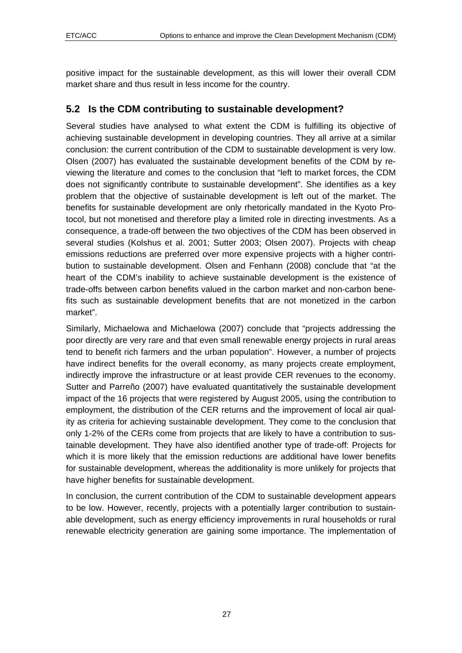<span id="page-26-0"></span>positive impact for the sustainable development, as this will lower their overall CDM market share and thus result in less income for the country.

#### **5.2 Is the CDM contributing to sustainable development?**

Several studies have analysed to what extent the CDM is fulfilling its objective of achieving sustainable development in developing countries. They all arrive at a similar conclusion: the current contribution of the CDM to sustainable development is very low. Olsen (2007) has evaluated the sustainable development benefits of the CDM by reviewing the literature and comes to the conclusion that "left to market forces, the CDM does not significantly contribute to sustainable development". She identifies as a key problem that the objective of sustainable development is left out of the market. The benefits for sustainable development are only rhetorically mandated in the Kyoto Protocol, but not monetised and therefore play a limited role in directing investments. As a consequence, a trade-off between the two objectives of the CDM has been observed in several studies (Kolshus et al. 2001; Sutter 2003; Olsen 2007). Projects with cheap emissions reductions are preferred over more expensive projects with a higher contribution to sustainable development. Olsen and Fenhann (2008) conclude that "at the heart of the CDM's inability to achieve sustainable development is the existence of trade-offs between carbon benefits valued in the carbon market and non-carbon benefits such as sustainable development benefits that are not monetized in the carbon market".

Similarly, Michaelowa and Michaelowa (2007) conclude that "projects addressing the poor directly are very rare and that even small renewable energy projects in rural areas tend to benefit rich farmers and the urban population". However, a number of projects have indirect benefits for the overall economy, as many projects create employment, indirectly improve the infrastructure or at least provide CER revenues to the economy. Sutter and Parreño (2007) have evaluated quantitatively the sustainable development impact of the 16 projects that were registered by August 2005, using the contribution to employment, the distribution of the CER returns and the improvement of local air quality as criteria for achieving sustainable development. They come to the conclusion that only 1-2% of the CERs come from projects that are likely to have a contribution to sustainable development. They have also identified another type of trade-off: Projects for which it is more likely that the emission reductions are additional have lower benefits for sustainable development, whereas the additionality is more unlikely for projects that have higher benefits for sustainable development.

In conclusion, the current contribution of the CDM to sustainable development appears to be low. However, recently, projects with a potentially larger contribution to sustainable development, such as energy efficiency improvements in rural households or rural renewable electricity generation are gaining some importance. The implementation of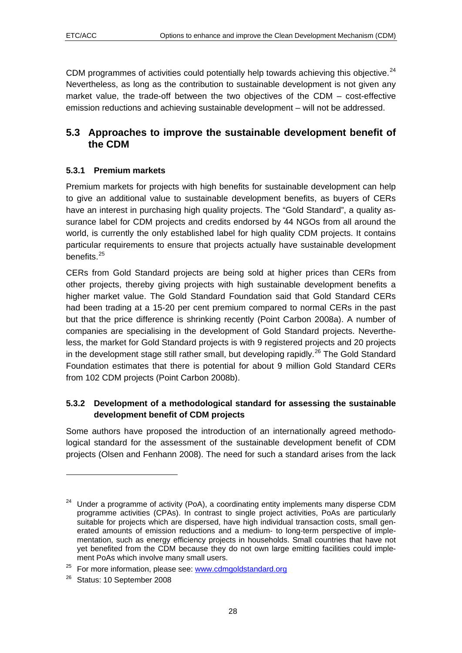<span id="page-27-0"></span>CDM programmes of activities could potentially help towards achieving this objective.  $24$  $24$ Nevertheless, as long as the contribution to sustainable development is not given any market value, the trade-off between the two objectives of the CDM – cost-effective emission reductions and achieving sustainable development – will not be addressed.

#### **5.3 Approaches to improve the sustainable development benefit of the CDM**

#### **5.3.1 Premium markets**

Premium markets for projects with high benefits for sustainable development can help to give an additional value to sustainable development benefits, as buyers of CERs have an interest in purchasing high quality projects. The "Gold Standard", a quality assurance label for CDM projects and credits endorsed by 44 NGOs from all around the world, is currently the only established label for high quality CDM projects. It contains particular requirements to ensure that projects actually have sustainable development benefits.<sup>[2](#page-27-2)5</sup>

CERs from Gold Standard projects are being sold at higher prices than CERs from other projects, thereby giving projects with high sustainable development benefits a higher market value. The Gold Standard Foundation said that Gold Standard CERs had been trading at a 15-20 per cent premium compared to normal CERs in the past but that the price difference is shrinking recently (Point Carbon 2008a). A number of companies are specialising in the development of Gold Standard projects. Nevertheless, the market for Gold Standard projects is with 9 registered projects and 20 projects in the development stage still rather small, but developing rapidly.<sup>[26](#page-27-3)</sup> The Gold Standard Foundation estimates that there is potential for about 9 million Gold Standard CERs from 102 CDM projects (Point Carbon 2008b).

#### **5.3.2 Development of a methodological standard for assessing the sustainable development benefit of CDM projects**

Some authors have proposed the introduction of an internationally agreed methodological standard for the assessment of the sustainable development benefit of CDM projects (Olsen and Fenhann 2008). The need for such a standard arises from the lack

 $\overline{a}$ 

<span id="page-27-1"></span>Under a programme of activity (PoA), a coordinating entity implements many disperse CDM programme activities (CPAs). In contrast to single project activities, PoAs are particularly suitable for projects which are dispersed, have high individual transaction costs, small generated amounts of emission reductions and a medium- to long-term perspective of implementation, such as energy efficiency projects in households. Small countries that have not yet benefited from the CDM because they do not own large emitting facilities could implement PoAs which involve many small users.

<span id="page-27-2"></span><sup>&</sup>lt;sup>25</sup> For more information, please see:  $\frac{www.cdmgoldstandard.org}{8}$ <br><sup>26</sup> Status: 10 September 2008

<span id="page-27-3"></span>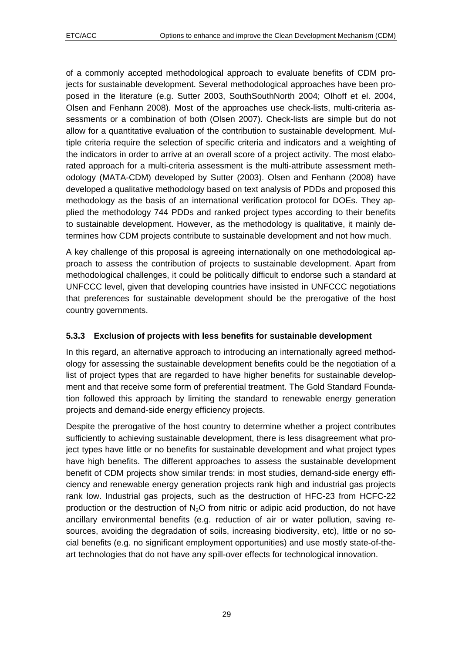<span id="page-28-0"></span>of a commonly accepted methodological approach to evaluate benefits of CDM projects for sustainable development. Several methodological approaches have been proposed in the literature (e.g. Sutter 2003, SouthSouthNorth 2004; Olhoff et el. 2004, Olsen and Fenhann 2008). Most of the approaches use check-lists, multi-criteria assessments or a combination of both (Olsen 2007). Check-lists are simple but do not allow for a quantitative evaluation of the contribution to sustainable development. Multiple criteria require the selection of specific criteria and indicators and a weighting of the indicators in order to arrive at an overall score of a project activity. The most elaborated approach for a multi-criteria assessment is the multi-attribute assessment methodology (MATA-CDM) developed by Sutter (2003). Olsen and Fenhann (2008) have developed a qualitative methodology based on text analysis of PDDs and proposed this methodology as the basis of an international verification protocol for DOEs. They applied the methodology 744 PDDs and ranked project types according to their benefits to sustainable development. However, as the methodology is qualitative, it mainly determines how CDM projects contribute to sustainable development and not how much.

A key challenge of this proposal is agreeing internationally on one methodological approach to assess the contribution of projects to sustainable development. Apart from methodological challenges, it could be politically difficult to endorse such a standard at UNFCCC level, given that developing countries have insisted in UNFCCC negotiations that preferences for sustainable development should be the prerogative of the host country governments.

#### **5.3.3 Exclusion of projects with less benefits for sustainable development**

In this regard, an alternative approach to introducing an internationally agreed methodology for assessing the sustainable development benefits could be the negotiation of a list of project types that are regarded to have higher benefits for sustainable development and that receive some form of preferential treatment. The Gold Standard Foundation followed this approach by limiting the standard to renewable energy generation projects and demand-side energy efficiency projects.

Despite the prerogative of the host country to determine whether a project contributes sufficiently to achieving sustainable development, there is less disagreement what project types have little or no benefits for sustainable development and what project types have high benefits. The different approaches to assess the sustainable development benefit of CDM projects show similar trends: in most studies, demand-side energy efficiency and renewable energy generation projects rank high and industrial gas projects rank low. Industrial gas projects, such as the destruction of HFC-23 from HCFC-22 production or the destruction of  $N<sub>2</sub>O$  from nitric or adipic acid production, do not have ancillary environmental benefits (e.g. reduction of air or water pollution, saving resources, avoiding the degradation of soils, increasing biodiversity, etc), little or no social benefits (e.g. no significant employment opportunities) and use mostly state-of-theart technologies that do not have any spill-over effects for technological innovation.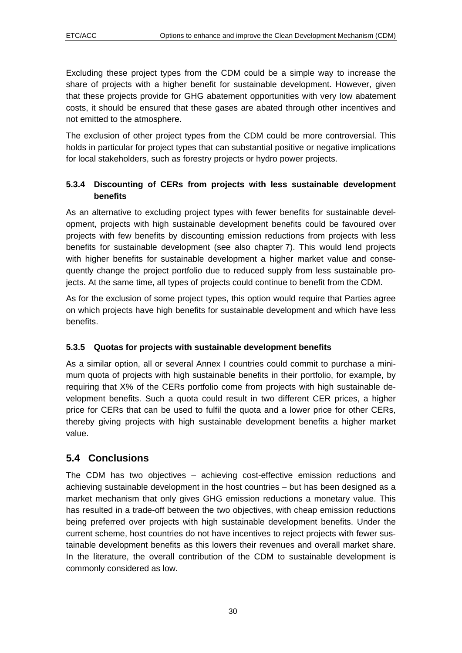<span id="page-29-0"></span>Excluding these project types from the CDM could be a simple way to increase the share of projects with a higher benefit for sustainable development. However, given that these projects provide for GHG abatement opportunities with very low abatement costs, it should be ensured that these gases are abated through other incentives and not emitted to the atmosphere.

The exclusion of other project types from the CDM could be more controversial. This holds in particular for project types that can substantial positive or negative implications for local stakeholders, such as forestry projects or hydro power projects.

#### **5.3.4 Discounting of CERs from projects with less sustainable development benefits**

As an alternative to excluding project types with fewer benefits for sustainable development, projects with high sustainable development benefits could be favoured over projects with few benefits by discounting emission reductions from projects with less benefits for sustainable development (see also chapter [7\)](#page-35-0). This would lend projects with higher benefits for sustainable development a higher market value and consequently change the project portfolio due to reduced supply from less sustainable projects. At the same time, all types of projects could continue to benefit from the CDM.

As for the exclusion of some project types, this option would require that Parties agree on which projects have high benefits for sustainable development and which have less benefits.

#### **5.3.5 Quotas for projects with sustainable development benefits**

As a similar option, all or several Annex I countries could commit to purchase a minimum quota of projects with high sustainable benefits in their portfolio, for example, by requiring that X% of the CERs portfolio come from projects with high sustainable development benefits. Such a quota could result in two different CER prices, a higher price for CERs that can be used to fulfil the quota and a lower price for other CERs, thereby giving projects with high sustainable development benefits a higher market value.

## **5.4 Conclusions**

The CDM has two objectives – achieving cost-effective emission reductions and achieving sustainable development in the host countries – but has been designed as a market mechanism that only gives GHG emission reductions a monetary value. This has resulted in a trade-off between the two objectives, with cheap emission reductions being preferred over projects with high sustainable development benefits. Under the current scheme, host countries do not have incentives to reject projects with fewer sustainable development benefits as this lowers their revenues and overall market share. In the literature, the overall contribution of the CDM to sustainable development is commonly considered as low.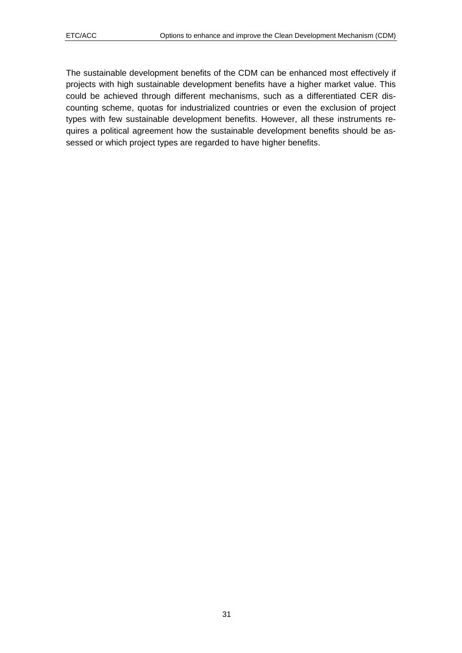The sustainable development benefits of the CDM can be enhanced most effectively if projects with high sustainable development benefits have a higher market value. This could be achieved through different mechanisms, such as a differentiated CER discounting scheme, quotas for industrialized countries or even the exclusion of project types with few sustainable development benefits. However, all these instruments requires a political agreement how the sustainable development benefits should be assessed or which project types are regarded to have higher benefits.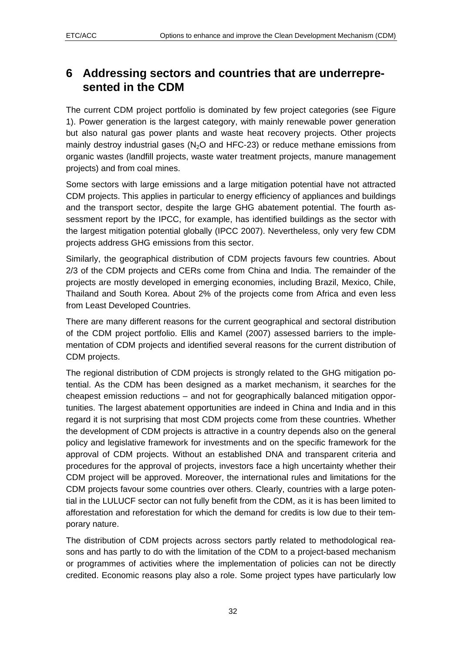## <span id="page-31-0"></span>**6 Addressing sectors and countries that are underrepresented in the CDM**

The current CDM project portfolio is dominated by few project categories (see [Figure](#page-4-0)  [1](#page-4-0)). Power generation is the largest category, with mainly renewable power generation but also natural gas power plants and waste heat recovery projects. Other projects mainly destroy industrial gases ( $N<sub>2</sub>O$  and HFC-23) or reduce methane emissions from organic wastes (landfill projects, waste water treatment projects, manure management projects) and from coal mines.

Some sectors with large emissions and a large mitigation potential have not attracted CDM projects. This applies in particular to energy efficiency of appliances and buildings and the transport sector, despite the large GHG abatement potential. The fourth assessment report by the IPCC, for example, has identified buildings as the sector with the largest mitigation potential globally (IPCC 2007). Nevertheless, only very few CDM projects address GHG emissions from this sector.

Similarly, the geographical distribution of CDM projects favours few countries. About 2/3 of the CDM projects and CERs come from China and India. The remainder of the projects are mostly developed in emerging economies, including Brazil, Mexico, Chile, Thailand and South Korea. About 2% of the projects come from Africa and even less from Least Developed Countries.

There are many different reasons for the current geographical and sectoral distribution of the CDM project portfolio. Ellis and Kamel (2007) assessed barriers to the implementation of CDM projects and identified several reasons for the current distribution of CDM projects.

The regional distribution of CDM projects is strongly related to the GHG mitigation potential. As the CDM has been designed as a market mechanism, it searches for the cheapest emission reductions – and not for geographically balanced mitigation opportunities. The largest abatement opportunities are indeed in China and India and in this regard it is not surprising that most CDM projects come from these countries. Whether the development of CDM projects is attractive in a country depends also on the general policy and legislative framework for investments and on the specific framework for the approval of CDM projects. Without an established DNA and transparent criteria and procedures for the approval of projects, investors face a high uncertainty whether their CDM project will be approved. Moreover, the international rules and limitations for the CDM projects favour some countries over others. Clearly, countries with a large potential in the LULUCF sector can not fully benefit from the CDM, as it is has been limited to afforestation and reforestation for which the demand for credits is low due to their temporary nature.

The distribution of CDM projects across sectors partly related to methodological reasons and has partly to do with the limitation of the CDM to a project-based mechanism or programmes of activities where the implementation of policies can not be directly credited. Economic reasons play also a role. Some project types have particularly low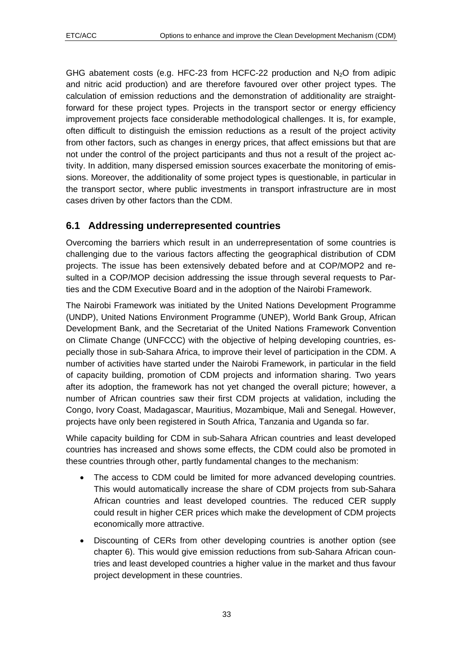<span id="page-32-0"></span>GHG abatement costs (e.g. HFC-23 from HCFC-22 production and  $N<sub>2</sub>O$  from adipic and nitric acid production) and are therefore favoured over other project types. The calculation of emission reductions and the demonstration of additionality are straightforward for these project types. Projects in the transport sector or energy efficiency improvement projects face considerable methodological challenges. It is, for example, often difficult to distinguish the emission reductions as a result of the project activity from other factors, such as changes in energy prices, that affect emissions but that are not under the control of the project participants and thus not a result of the project activity. In addition, many dispersed emission sources exacerbate the monitoring of emissions. Moreover, the additionality of some project types is questionable, in particular in the transport sector, where public investments in transport infrastructure are in most cases driven by other factors than the CDM.

#### **6.1 Addressing underrepresented countries**

Overcoming the barriers which result in an underrepresentation of some countries is challenging due to the various factors affecting the geographical distribution of CDM projects. The issue has been extensively debated before and at COP/MOP2 and resulted in a COP/MOP decision addressing the issue through several requests to Parties and the CDM Executive Board and in the adoption of the Nairobi Framework.

The Nairobi Framework was initiated by the United Nations Development Programme (UNDP), United Nations Environment Programme (UNEP), World Bank Group, African Development Bank, and the Secretariat of the United Nations Framework Convention on Climate Change (UNFCCC) with the objective of helping developing countries, especially those in sub-Sahara Africa, to improve their level of participation in the CDM. A number of activities have started under the Nairobi Framework, in particular in the field of capacity building, promotion of CDM projects and information sharing. Two years after its adoption, the framework has not yet changed the overall picture; however, a number of African countries saw their first CDM projects at validation, including the Congo, Ivory Coast, Madagascar, Mauritius, Mozambique, Mali and Senegal. However, projects have only been registered in South Africa, Tanzania and Uganda so far.

While capacity building for CDM in sub-Sahara African countries and least developed countries has increased and shows some effects, the CDM could also be promoted in these countries through other, partly fundamental changes to the mechanism:

- The access to CDM could be limited for more advanced developing countries. This would automatically increase the share of CDM projects from sub-Sahara African countries and least developed countries. The reduced CER supply could result in higher CER prices which make the development of CDM projects economically more attractive.
- Discounting of CERs from other developing countries is another option (see chapter [6](#page-35-0)). This would give emission reductions from sub-Sahara African countries and least developed countries a higher value in the market and thus favour project development in these countries.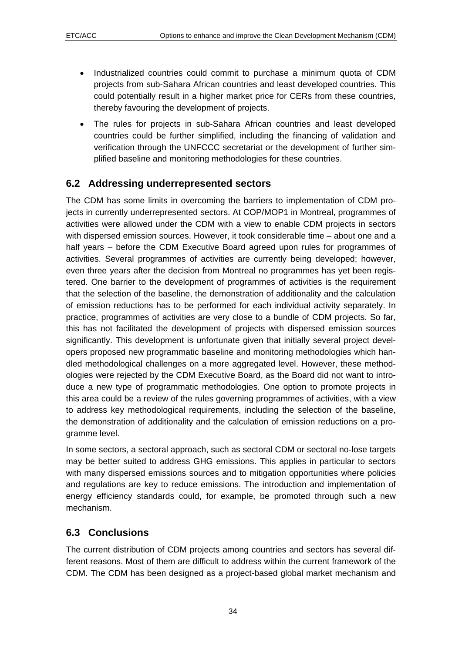- <span id="page-33-0"></span>• Industrialized countries could commit to purchase a minimum quota of CDM projects from sub-Sahara African countries and least developed countries. This could potentially result in a higher market price for CERs from these countries, thereby favouring the development of projects.
- The rules for projects in sub-Sahara African countries and least developed countries could be further simplified, including the financing of validation and verification through the UNFCCC secretariat or the development of further simplified baseline and monitoring methodologies for these countries.

## **6.2 Addressing underrepresented sectors**

The CDM has some limits in overcoming the barriers to implementation of CDM projects in currently underrepresented sectors. At COP/MOP1 in Montreal, programmes of activities were allowed under the CDM with a view to enable CDM projects in sectors with dispersed emission sources. However, it took considerable time – about one and a half years – before the CDM Executive Board agreed upon rules for programmes of activities. Several programmes of activities are currently being developed; however, even three years after the decision from Montreal no programmes has yet been registered. One barrier to the development of programmes of activities is the requirement that the selection of the baseline, the demonstration of additionality and the calculation of emission reductions has to be performed for each individual activity separately. In practice, programmes of activities are very close to a bundle of CDM projects. So far, this has not facilitated the development of projects with dispersed emission sources significantly. This development is unfortunate given that initially several project developers proposed new programmatic baseline and monitoring methodologies which handled methodological challenges on a more aggregated level. However, these methodologies were rejected by the CDM Executive Board, as the Board did not want to introduce a new type of programmatic methodologies. One option to promote projects in this area could be a review of the rules governing programmes of activities, with a view to address key methodological requirements, including the selection of the baseline, the demonstration of additionality and the calculation of emission reductions on a programme level.

In some sectors, a sectoral approach, such as sectoral CDM or sectoral no-lose targets may be better suited to address GHG emissions. This applies in particular to sectors with many dispersed emissions sources and to mitigation opportunities where policies and regulations are key to reduce emissions. The introduction and implementation of energy efficiency standards could, for example, be promoted through such a new mechanism.

## **6.3 Conclusions**

The current distribution of CDM projects among countries and sectors has several different reasons. Most of them are difficult to address within the current framework of the CDM. The CDM has been designed as a project-based global market mechanism and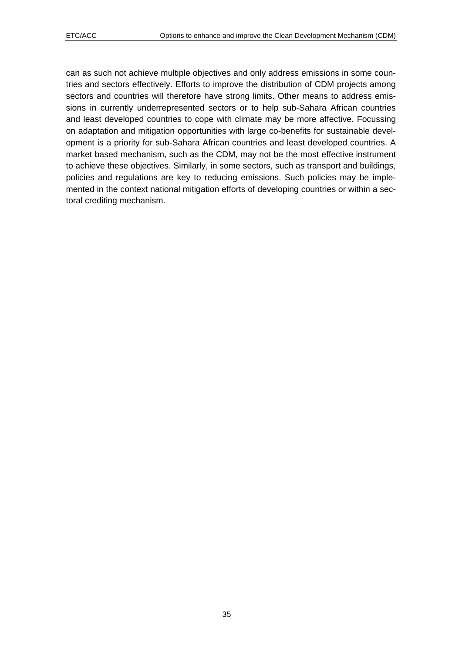can as such not achieve multiple objectives and only address emissions in some countries and sectors effectively. Efforts to improve the distribution of CDM projects among sectors and countries will therefore have strong limits. Other means to address emissions in currently underrepresented sectors or to help sub-Sahara African countries and least developed countries to cope with climate may be more affective. Focussing on adaptation and mitigation opportunities with large co-benefits for sustainable development is a priority for sub-Sahara African countries and least developed countries. A market based mechanism, such as the CDM, may not be the most effective instrument to achieve these objectives. Similarly, in some sectors, such as transport and buildings, policies and regulations are key to reducing emissions. Such policies may be implemented in the context national mitigation efforts of developing countries or within a sectoral crediting mechanism.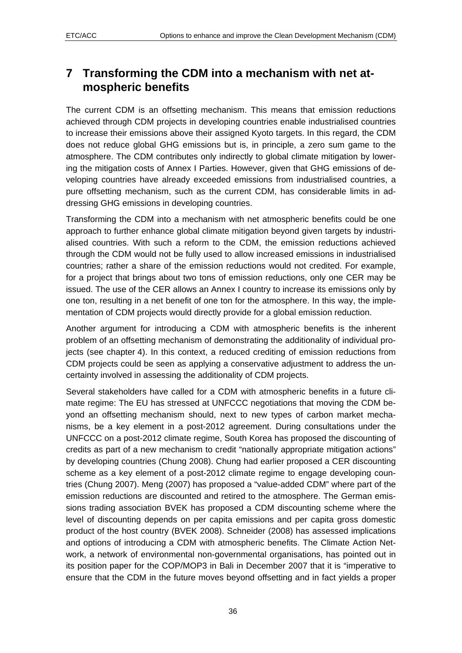## <span id="page-35-0"></span>**7 Transforming the CDM into a mechanism with net atmospheric benefits**

The current CDM is an offsetting mechanism. This means that emission reductions achieved through CDM projects in developing countries enable industrialised countries to increase their emissions above their assigned Kyoto targets. In this regard, the CDM does not reduce global GHG emissions but is, in principle, a zero sum game to the atmosphere. The CDM contributes only indirectly to global climate mitigation by lowering the mitigation costs of Annex I Parties. However, given that GHG emissions of developing countries have already exceeded emissions from industrialised countries, a pure offsetting mechanism, such as the current CDM, has considerable limits in addressing GHG emissions in developing countries.

Transforming the CDM into a mechanism with net atmospheric benefits could be one approach to further enhance global climate mitigation beyond given targets by industrialised countries. With such a reform to the CDM, the emission reductions achieved through the CDM would not be fully used to allow increased emissions in industrialised countries; rather a share of the emission reductions would not credited. For example, for a project that brings about two tons of emission reductions, only one CER may be issued. The use of the CER allows an Annex I country to increase its emissions only by one ton, resulting in a net benefit of one ton for the atmosphere. In this way, the implementation of CDM projects would directly provide for a global emission reduction.

Another argument for introducing a CDM with atmospheric benefits is the inherent problem of an offsetting mechanism of demonstrating the additionality of individual projects (see chapter [4](#page-19-0)). In this context, a reduced crediting of emission reductions from CDM projects could be seen as applying a conservative adjustment to address the uncertainty involved in assessing the additionality of CDM projects.

Several stakeholders have called for a CDM with atmospheric benefits in a future climate regime: The EU has stressed at UNFCCC negotiations that moving the CDM beyond an offsetting mechanism should, next to new types of carbon market mechanisms, be a key element in a post-2012 agreement. During consultations under the UNFCCC on a post-2012 climate regime, South Korea has proposed the discounting of credits as part of a new mechanism to credit "nationally appropriate mitigation actions" by developing countries (Chung 2008). Chung had earlier proposed a CER discounting scheme as a key element of a post-2012 climate regime to engage developing countries (Chung 2007). Meng (2007) has proposed a "value-added CDM" where part of the emission reductions are discounted and retired to the atmosphere. The German emissions trading association BVEK has proposed a CDM discounting scheme where the level of discounting depends on per capita emissions and per capita gross domestic product of the host country (BVEK 2008). Schneider (2008) has assessed implications and options of introducing a CDM with atmospheric benefits. The Climate Action Network, a network of environmental non-governmental organisations, has pointed out in its position paper for the COP/MOP3 in Bali in December 2007 that it is "imperative to ensure that the CDM in the future moves beyond offsetting and in fact yields a proper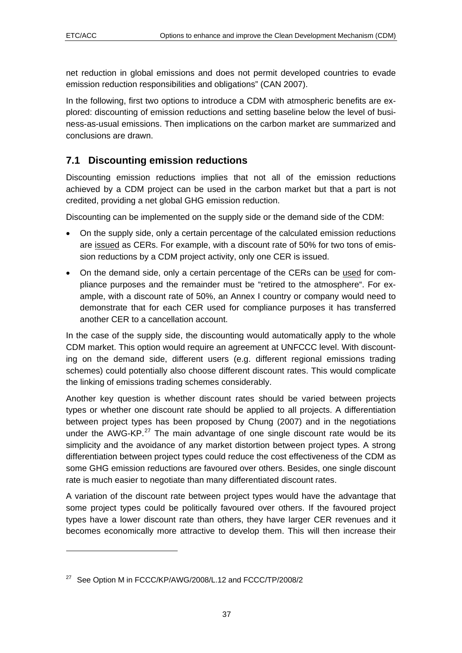1

<span id="page-36-0"></span>net reduction in global emissions and does not permit developed countries to evade emission reduction responsibilities and obligations" (CAN 2007).

In the following, first two options to introduce a CDM with atmospheric benefits are explored: discounting of emission reductions and setting baseline below the level of business-as-usual emissions. Then implications on the carbon market are summarized and conclusions are drawn.

#### **7.1 Discounting emission reductions**

Discounting emission reductions implies that not all of the emission reductions achieved by a CDM project can be used in the carbon market but that a part is not credited, providing a net global GHG emission reduction.

Discounting can be implemented on the supply side or the demand side of the CDM:

- On the supply side, only a certain percentage of the calculated emission reductions are issued as CERs. For example, with a discount rate of 50% for two tons of emission reductions by a CDM project activity, only one CER is issued.
- On the demand side, only a certain percentage of the CERs can be used for compliance purposes and the remainder must be "retired to the atmosphere". For example, with a discount rate of 50%, an Annex I country or company would need to demonstrate that for each CER used for compliance purposes it has transferred another CER to a cancellation account.

In the case of the supply side, the discounting would automatically apply to the whole CDM market. This option would require an agreement at UNFCCC level. With discounting on the demand side, different users (e.g. different regional emissions trading schemes) could potentially also choose different discount rates. This would complicate the linking of emissions trading schemes considerably.

Another key question is whether discount rates should be varied between projects types or whether one discount rate should be applied to all projects. A differentiation between project types has been proposed by Chung (2007) and in the negotiations under the AWG-KP.<sup>[2](#page-36-1)7</sup> The main advantage of one single discount rate would be its simplicity and the avoidance of any market distortion between project types. A strong differentiation between project types could reduce the cost effectiveness of the CDM as some GHG emission reductions are favoured over others. Besides, one single discount rate is much easier to negotiate than many differentiated discount rates.

A variation of the discount rate between project types would have the advantage that some project types could be politically favoured over others. If the favoured project types have a lower discount rate than others, they have larger CER revenues and it becomes economically more attractive to develop them. This will then increase their

<span id="page-36-1"></span><sup>&</sup>lt;sup>27</sup> See Option M in FCCC/KP/AWG/2008/L.12 and FCCC/TP/2008/2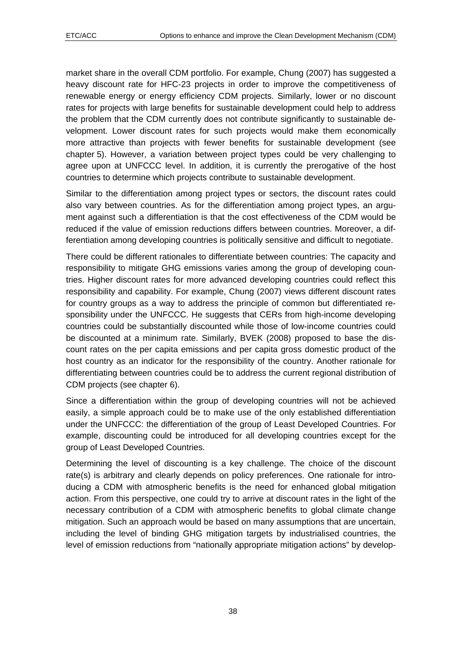market share in the overall CDM portfolio. For example, Chung (2007) has suggested a heavy discount rate for HFC-23 projects in order to improve the competitiveness of renewable energy or energy efficiency CDM projects. Similarly, lower or no discount rates for projects with large benefits for sustainable development could help to address the problem that the CDM currently does not contribute significantly to sustainable development. Lower discount rates for such projects would make them economically more attractive than projects with fewer benefits for sustainable development (see chapter [5\)](#page-25-0). However, a variation between project types could be very challenging to agree upon at UNFCCC level. In addition, it is currently the prerogative of the host countries to determine which projects contribute to sustainable development.

Similar to the differentiation among project types or sectors, the discount rates could also vary between countries. As for the differentiation among project types, an argument against such a differentiation is that the cost effectiveness of the CDM would be reduced if the value of emission reductions differs between countries. Moreover, a differentiation among developing countries is politically sensitive and difficult to negotiate.

There could be different rationales to differentiate between countries: The capacity and responsibility to mitigate GHG emissions varies among the group of developing countries. Higher discount rates for more advanced developing countries could reflect this responsibility and capability. For example, Chung (2007) views different discount rates for country groups as a way to address the principle of common but differentiated responsibility under the UNFCCC. He suggests that CERs from high-income developing countries could be substantially discounted while those of low-income countries could be discounted at a minimum rate. Similarly, BVEK (2008) proposed to base the discount rates on the per capita emissions and per capita gross domestic product of the host country as an indicator for the responsibility of the country. Another rationale for differentiating between countries could be to address the current regional distribution of CDM projects (see chapter [6](#page-31-0)).

Since a differentiation within the group of developing countries will not be achieved easily, a simple approach could be to make use of the only established differentiation under the UNFCCC: the differentiation of the group of Least Developed Countries. For example, discounting could be introduced for all developing countries except for the group of Least Developed Countries.

Determining the level of discounting is a key challenge. The choice of the discount rate(s) is arbitrary and clearly depends on policy preferences. One rationale for introducing a CDM with atmospheric benefits is the need for enhanced global mitigation action. From this perspective, one could try to arrive at discount rates in the light of the necessary contribution of a CDM with atmospheric benefits to global climate change mitigation. Such an approach would be based on many assumptions that are uncertain, including the level of binding GHG mitigation targets by industrialised countries, the level of emission reductions from "nationally appropriate mitigation actions" by develop-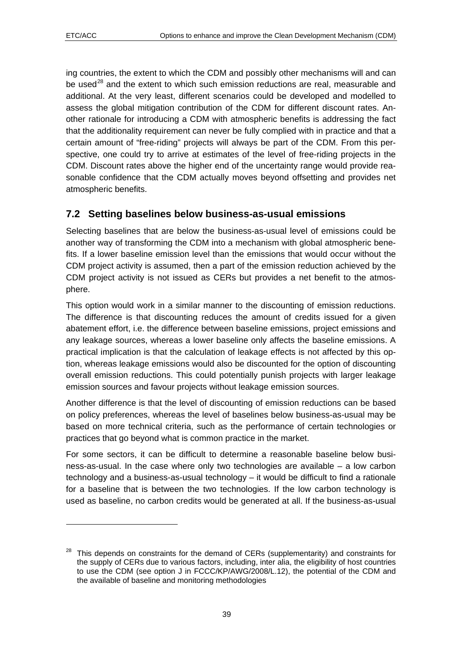1

<span id="page-38-0"></span>ing countries, the extent to which the CDM and possibly other mechanisms will and can be used<sup>[2](#page-38-1)8</sup> and the extent to which such emission reductions are real, measurable and additional. At the very least, different scenarios could be developed and modelled to assess the global mitigation contribution of the CDM for different discount rates. Another rationale for introducing a CDM with atmospheric benefits is addressing the fact that the additionality requirement can never be fully complied with in practice and that a certain amount of "free-riding" projects will always be part of the CDM. From this perspective, one could try to arrive at estimates of the level of free-riding projects in the CDM. Discount rates above the higher end of the uncertainty range would provide reasonable confidence that the CDM actually moves beyond offsetting and provides net atmospheric benefits.

#### **7.2 Setting baselines below business-as-usual emissions**

Selecting baselines that are below the business-as-usual level of emissions could be another way of transforming the CDM into a mechanism with global atmospheric benefits. If a lower baseline emission level than the emissions that would occur without the CDM project activity is assumed, then a part of the emission reduction achieved by the CDM project activity is not issued as CERs but provides a net benefit to the atmosphere.

This option would work in a similar manner to the discounting of emission reductions. The difference is that discounting reduces the amount of credits issued for a given abatement effort, i.e. the difference between baseline emissions, project emissions and any leakage sources, whereas a lower baseline only affects the baseline emissions. A practical implication is that the calculation of leakage effects is not affected by this option, whereas leakage emissions would also be discounted for the option of discounting overall emission reductions. This could potentially punish projects with larger leakage emission sources and favour projects without leakage emission sources.

Another difference is that the level of discounting of emission reductions can be based on policy preferences, whereas the level of baselines below business-as-usual may be based on more technical criteria, such as the performance of certain technologies or practices that go beyond what is common practice in the market.

For some sectors, it can be difficult to determine a reasonable baseline below business-as-usual. In the case where only two technologies are available – a low carbon technology and a business-as-usual technology – it would be difficult to find a rationale for a baseline that is between the two technologies. If the low carbon technology is used as baseline, no carbon credits would be generated at all. If the business-as-usual

<span id="page-38-1"></span> $28$  This depends on constraints for the demand of CERs (supplementarity) and constraints for the supply of CERs due to various factors, including, inter alia, the eligibility of host countries to use the CDM (see option J in FCCC/KP/AWG/2008/L.12), the potential of the CDM and the available of baseline and monitoring methodologies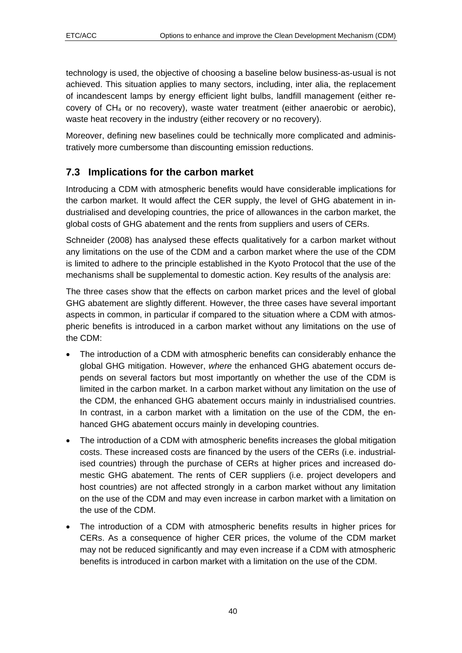<span id="page-39-0"></span>technology is used, the objective of choosing a baseline below business-as-usual is not achieved. This situation applies to many sectors, including, inter alia, the replacement of incandescent lamps by energy efficient light bulbs, landfill management (either recovery of  $CH_4$  or no recovery), waste water treatment (either anaerobic or aerobic). waste heat recovery in the industry (either recovery or no recovery).

Moreover, defining new baselines could be technically more complicated and administratively more cumbersome than discounting emission reductions.

## **7.3 Implications for the carbon market**

Introducing a CDM with atmospheric benefits would have considerable implications for the carbon market. It would affect the CER supply, the level of GHG abatement in industrialised and developing countries, the price of allowances in the carbon market, the global costs of GHG abatement and the rents from suppliers and users of CERs.

Schneider (2008) has analysed these effects qualitatively for a carbon market without any limitations on the use of the CDM and a carbon market where the use of the CDM is limited to adhere to the principle established in the Kyoto Protocol that the use of the mechanisms shall be supplemental to domestic action. Key results of the analysis are:

The three cases show that the effects on carbon market prices and the level of global GHG abatement are slightly different. However, the three cases have several important aspects in common, in particular if compared to the situation where a CDM with atmospheric benefits is introduced in a carbon market without any limitations on the use of the CDM:

- The introduction of a CDM with atmospheric benefits can considerably enhance the global GHG mitigation. However, *where* the enhanced GHG abatement occurs depends on several factors but most importantly on whether the use of the CDM is limited in the carbon market. In a carbon market without any limitation on the use of the CDM, the enhanced GHG abatement occurs mainly in industrialised countries. In contrast, in a carbon market with a limitation on the use of the CDM, the enhanced GHG abatement occurs mainly in developing countries.
- The introduction of a CDM with atmospheric benefits increases the global mitigation costs. These increased costs are financed by the users of the CERs (i.e. industrialised countries) through the purchase of CERs at higher prices and increased domestic GHG abatement. The rents of CER suppliers (i.e. project developers and host countries) are not affected strongly in a carbon market without any limitation on the use of the CDM and may even increase in carbon market with a limitation on the use of the CDM.
- The introduction of a CDM with atmospheric benefits results in higher prices for CERs. As a consequence of higher CER prices, the volume of the CDM market may not be reduced significantly and may even increase if a CDM with atmospheric benefits is introduced in carbon market with a limitation on the use of the CDM.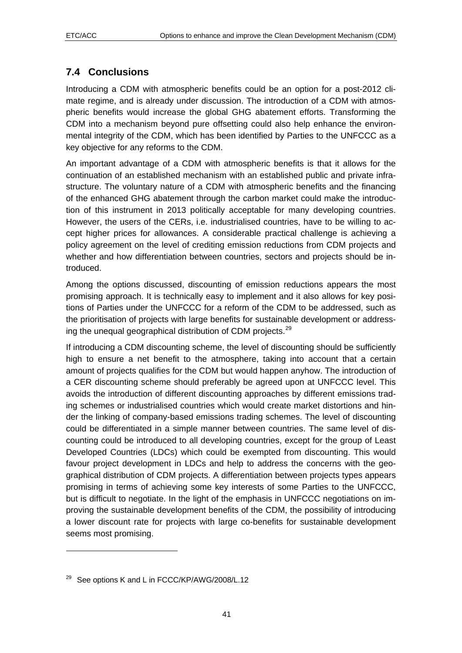## <span id="page-40-0"></span>**7.4 Conclusions**

Introducing a CDM with atmospheric benefits could be an option for a post-2012 climate regime, and is already under discussion. The introduction of a CDM with atmospheric benefits would increase the global GHG abatement efforts. Transforming the CDM into a mechanism beyond pure offsetting could also help enhance the environmental integrity of the CDM, which has been identified by Parties to the UNFCCC as a key objective for any reforms to the CDM.

An important advantage of a CDM with atmospheric benefits is that it allows for the continuation of an established mechanism with an established public and private infrastructure. The voluntary nature of a CDM with atmospheric benefits and the financing of the enhanced GHG abatement through the carbon market could make the introduction of this instrument in 2013 politically acceptable for many developing countries. However, the users of the CERs, i.e. industrialised countries, have to be willing to accept higher prices for allowances. A considerable practical challenge is achieving a policy agreement on the level of crediting emission reductions from CDM projects and whether and how differentiation between countries, sectors and projects should be introduced.

Among the options discussed, discounting of emission reductions appears the most promising approach. It is technically easy to implement and it also allows for key positions of Parties under the UNFCCC for a reform of the CDM to be addressed, such as the prioritisation of projects with large benefits for sustainable development or address-ing the unequal geographical distribution of CDM projects.<sup>[29](#page-40-1)</sup>

If introducing a CDM discounting scheme, the level of discounting should be sufficiently high to ensure a net benefit to the atmosphere, taking into account that a certain amount of projects qualifies for the CDM but would happen anyhow. The introduction of a CER discounting scheme should preferably be agreed upon at UNFCCC level. This avoids the introduction of different discounting approaches by different emissions trading schemes or industrialised countries which would create market distortions and hinder the linking of company-based emissions trading schemes. The level of discounting could be differentiated in a simple manner between countries. The same level of discounting could be introduced to all developing countries, except for the group of Least Developed Countries (LDCs) which could be exempted from discounting. This would favour project development in LDCs and help to address the concerns with the geographical distribution of CDM projects. A differentiation between projects types appears promising in terms of achieving some key interests of some Parties to the UNFCCC, but is difficult to negotiate. In the light of the emphasis in UNFCCC negotiations on improving the sustainable development benefits of the CDM, the possibility of introducing a lower discount rate for projects with large co-benefits for sustainable development seems most promising.

1

<span id="page-40-1"></span><sup>&</sup>lt;sup>29</sup> See options K and L in FCCC/KP/AWG/2008/L.12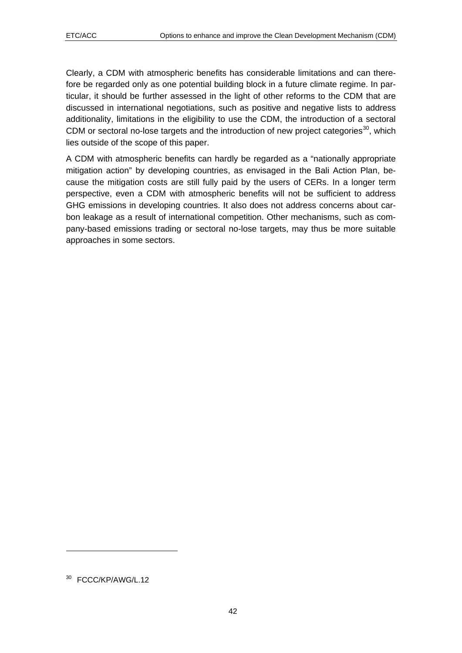Clearly, a CDM with atmospheric benefits has considerable limitations and can therefore be regarded only as one potential building block in a future climate regime. In particular, it should be further assessed in the light of other reforms to the CDM that are discussed in international negotiations, such as positive and negative lists to address additionality, limitations in the eligibility to use the CDM, the introduction of a sectoral CDM or sectoral no-lose targets and the introduction of new project categories<sup>[30](#page-41-0)</sup>, which lies outside of the scope of this paper.

A CDM with atmospheric benefits can hardly be regarded as a "nationally appropriate mitigation action" by developing countries, as envisaged in the Bali Action Plan, because the mitigation costs are still fully paid by the users of CERs. In a longer term perspective, even a CDM with atmospheric benefits will not be sufficient to address GHG emissions in developing countries. It also does not address concerns about carbon leakage as a result of international competition. Other mechanisms, such as company-based emissions trading or sectoral no-lose targets, may thus be more suitable approaches in some sectors.

1

<span id="page-41-0"></span><sup>&</sup>lt;sup>30</sup> FCCC/KP/AWG/L.12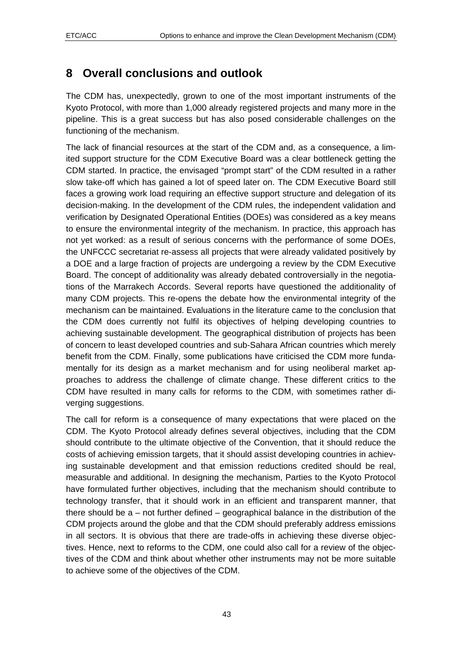# <span id="page-42-0"></span>**8 Overall conclusions and outlook**

The CDM has, unexpectedly, grown to one of the most important instruments of the Kyoto Protocol, with more than 1,000 already registered projects and many more in the pipeline. This is a great success but has also posed considerable challenges on the functioning of the mechanism.

The lack of financial resources at the start of the CDM and, as a consequence, a limited support structure for the CDM Executive Board was a clear bottleneck getting the CDM started. In practice, the envisaged "prompt start" of the CDM resulted in a rather slow take-off which has gained a lot of speed later on. The CDM Executive Board still faces a growing work load requiring an effective support structure and delegation of its decision-making. In the development of the CDM rules, the independent validation and verification by Designated Operational Entities (DOEs) was considered as a key means to ensure the environmental integrity of the mechanism. In practice, this approach has not yet worked: as a result of serious concerns with the performance of some DOEs, the UNFCCC secretariat re-assess all projects that were already validated positively by a DOE and a large fraction of projects are undergoing a review by the CDM Executive Board. The concept of additionality was already debated controversially in the negotiations of the Marrakech Accords. Several reports have questioned the additionality of many CDM projects. This re-opens the debate how the environmental integrity of the mechanism can be maintained. Evaluations in the literature came to the conclusion that the CDM does currently not fulfil its objectives of helping developing countries to achieving sustainable development. The geographical distribution of projects has been of concern to least developed countries and sub-Sahara African countries which merely benefit from the CDM. Finally, some publications have criticised the CDM more fundamentally for its design as a market mechanism and for using neoliberal market approaches to address the challenge of climate change. These different critics to the CDM have resulted in many calls for reforms to the CDM, with sometimes rather diverging suggestions.

The call for reform is a consequence of many expectations that were placed on the CDM. The Kyoto Protocol already defines several objectives, including that the CDM should contribute to the ultimate objective of the Convention, that it should reduce the costs of achieving emission targets, that it should assist developing countries in achieving sustainable development and that emission reductions credited should be real, measurable and additional. In designing the mechanism, Parties to the Kyoto Protocol have formulated further objectives, including that the mechanism should contribute to technology transfer, that it should work in an efficient and transparent manner, that there should be a – not further defined – geographical balance in the distribution of the CDM projects around the globe and that the CDM should preferably address emissions in all sectors. It is obvious that there are trade-offs in achieving these diverse objectives. Hence, next to reforms to the CDM, one could also call for a review of the objectives of the CDM and think about whether other instruments may not be more suitable to achieve some of the objectives of the CDM.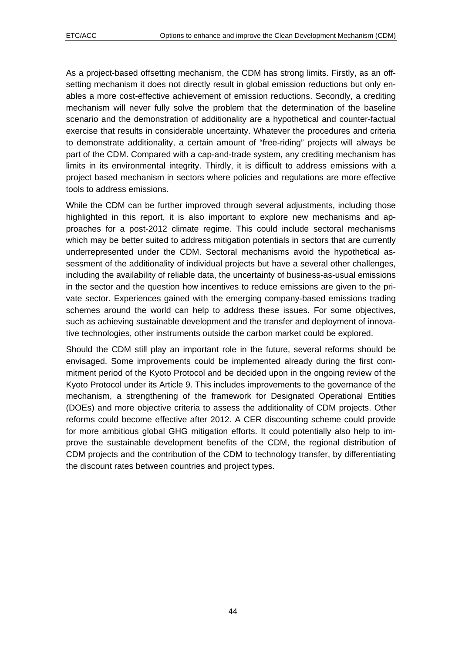As a project-based offsetting mechanism, the CDM has strong limits. Firstly, as an offsetting mechanism it does not directly result in global emission reductions but only enables a more cost-effective achievement of emission reductions. Secondly, a crediting mechanism will never fully solve the problem that the determination of the baseline scenario and the demonstration of additionality are a hypothetical and counter-factual exercise that results in considerable uncertainty. Whatever the procedures and criteria to demonstrate additionality, a certain amount of "free-riding" projects will always be part of the CDM. Compared with a cap-and-trade system, any crediting mechanism has limits in its environmental integrity. Thirdly, it is difficult to address emissions with a project based mechanism in sectors where policies and regulations are more effective tools to address emissions.

While the CDM can be further improved through several adjustments, including those highlighted in this report, it is also important to explore new mechanisms and approaches for a post-2012 climate regime. This could include sectoral mechanisms which may be better suited to address mitigation potentials in sectors that are currently underrepresented under the CDM. Sectoral mechanisms avoid the hypothetical assessment of the additionality of individual projects but have a several other challenges, including the availability of reliable data, the uncertainty of business-as-usual emissions in the sector and the question how incentives to reduce emissions are given to the private sector. Experiences gained with the emerging company-based emissions trading schemes around the world can help to address these issues. For some objectives, such as achieving sustainable development and the transfer and deployment of innovative technologies, other instruments outside the carbon market could be explored.

Should the CDM still play an important role in the future, several reforms should be envisaged. Some improvements could be implemented already during the first commitment period of the Kyoto Protocol and be decided upon in the ongoing review of the Kyoto Protocol under its Article 9. This includes improvements to the governance of the mechanism, a strengthening of the framework for Designated Operational Entities (DOEs) and more objective criteria to assess the additionality of CDM projects. Other reforms could become effective after 2012. A CER discounting scheme could provide for more ambitious global GHG mitigation efforts. It could potentially also help to improve the sustainable development benefits of the CDM, the regional distribution of CDM projects and the contribution of the CDM to technology transfer, by differentiating the discount rates between countries and project types.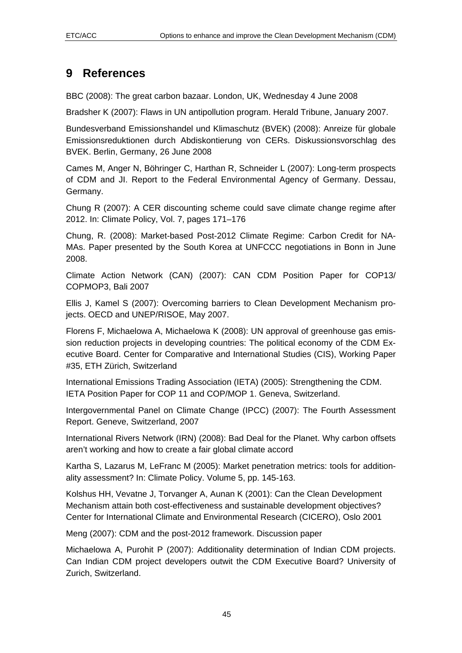# <span id="page-44-0"></span>**9 References**

BBC (2008): The great carbon bazaar. London, UK, Wednesday 4 June 2008

Bradsher K (2007): Flaws in UN antipollution program. Herald Tribune, January 2007.

Bundesverband Emissionshandel und Klimaschutz (BVEK) (2008): Anreize für globale Emissionsreduktionen durch Abdiskontierung von CERs. Diskussionsvorschlag des BVEK. Berlin, Germany, 26 June 2008

Cames M, Anger N, Böhringer C, Harthan R, Schneider L (2007): Long-term prospects of CDM and JI. Report to the Federal Environmental Agency of Germany. Dessau, Germany.

Chung R (2007): A CER discounting scheme could save climate change regime after 2012. In: Climate Policy, Vol. 7, pages 171–176

Chung, R. (2008): Market-based Post-2012 Climate Regime: Carbon Credit for NA-MAs. Paper presented by the South Korea at UNFCCC negotiations in Bonn in June 2008.

Climate Action Network (CAN) (2007): CAN CDM Position Paper for COP13/ COPMOP3, Bali 2007

Ellis J, Kamel S (2007): Overcoming barriers to Clean Development Mechanism projects. OECD and UNEP/RISOE, May 2007.

Florens F, Michaelowa A, Michaelowa K (2008): UN approval of greenhouse gas emission reduction projects in developing countries: The political economy of the CDM Executive Board. Center for Comparative and International Studies (CIS), Working Paper #35, ETH Zürich, Switzerland

International Emissions Trading Association (IETA) (2005): Strengthening the CDM. IETA Position Paper for COP 11 and COP/MOP 1. Geneva, Switzerland.

Intergovernmental Panel on Climate Change (IPCC) (2007): The Fourth Assessment Report. Geneve, Switzerland, 2007

International Rivers Network (IRN) (2008): Bad Deal for the Planet. Why carbon offsets aren't working and how to create a fair global climate accord

Kartha S, Lazarus M, LeFranc M (2005): Market penetration metrics: tools for additionality assessment? In: Climate Policy. Volume 5, pp. 145-163.

Kolshus HH, Vevatne J, Torvanger A, Aunan K (2001): Can the Clean Development Mechanism attain both cost-effectiveness and sustainable development objectives? Center for International Climate and Environmental Research (CICERO), Oslo 2001

Meng (2007): CDM and the post-2012 framework. Discussion paper

Michaelowa A, Purohit P (2007): Additionality determination of Indian CDM projects. Can Indian CDM project developers outwit the CDM Executive Board? University of Zurich, Switzerland.